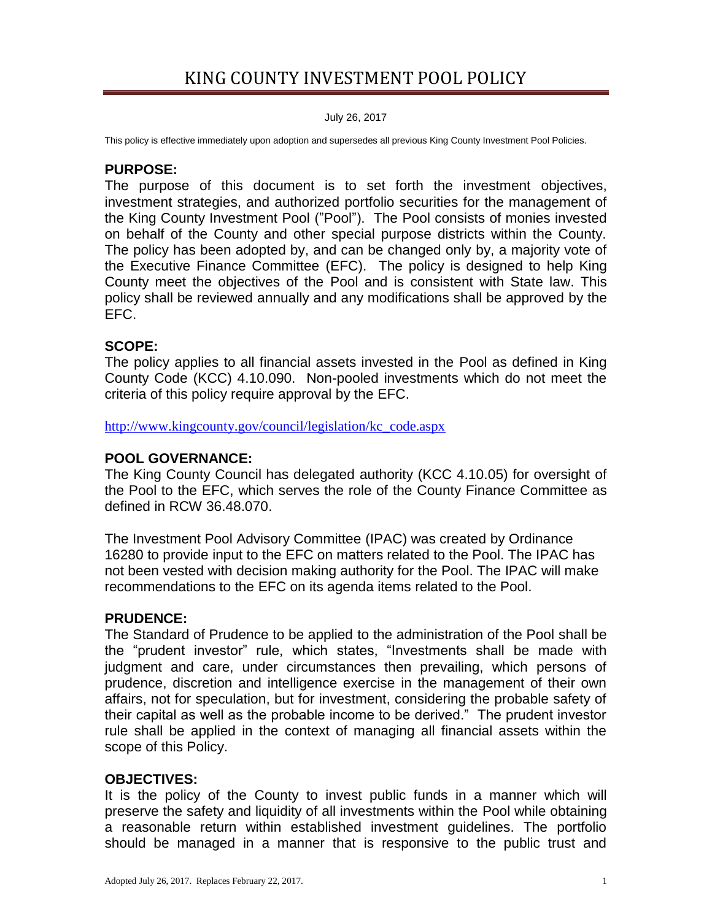July 26, 2017

This policy is effective immediately upon adoption and supersedes all previous King County Investment Pool Policies.

#### **PURPOSE:**

The purpose of this document is to set forth the investment objectives, investment strategies, and authorized portfolio securities for the management of the King County Investment Pool ("Pool"). The Pool consists of monies invested on behalf of the County and other special purpose districts within the County. The policy has been adopted by, and can be changed only by, a majority vote of the Executive Finance Committee (EFC). The policy is designed to help King County meet the objectives of the Pool and is consistent with State law. This policy shall be reviewed annually and any modifications shall be approved by the EFC.

#### **SCOPE:**

The policy applies to all financial assets invested in the Pool as defined in King County Code (KCC) 4.10.090. Non-pooled investments which do not meet the criteria of this policy require approval by the EFC.

[http://www.kingcounty.gov/council/legislation/kc\\_code.aspx](http://www.kingcounty.gov/council/legislation/kc_code.aspx)

#### **POOL GOVERNANCE:**

The King County Council has delegated authority (KCC 4.10.05) for oversight of the Pool to the EFC, which serves the role of the County Finance Committee as defined in RCW 36.48.070.

The Investment Pool Advisory Committee (IPAC) was created by Ordinance 16280 to provide input to the EFC on matters related to the Pool. The IPAC has not been vested with decision making authority for the Pool. The IPAC will make recommendations to the EFC on its agenda items related to the Pool.

#### **PRUDENCE:**

The Standard of Prudence to be applied to the administration of the Pool shall be the "prudent investor" rule, which states, "Investments shall be made with judgment and care, under circumstances then prevailing, which persons of prudence, discretion and intelligence exercise in the management of their own affairs, not for speculation, but for investment, considering the probable safety of their capital as well as the probable income to be derived." The prudent investor rule shall be applied in the context of managing all financial assets within the scope of this Policy.

#### **OBJECTIVES:**

It is the policy of the County to invest public funds in a manner which will preserve the safety and liquidity of all investments within the Pool while obtaining a reasonable return within established investment guidelines. The portfolio should be managed in a manner that is responsive to the public trust and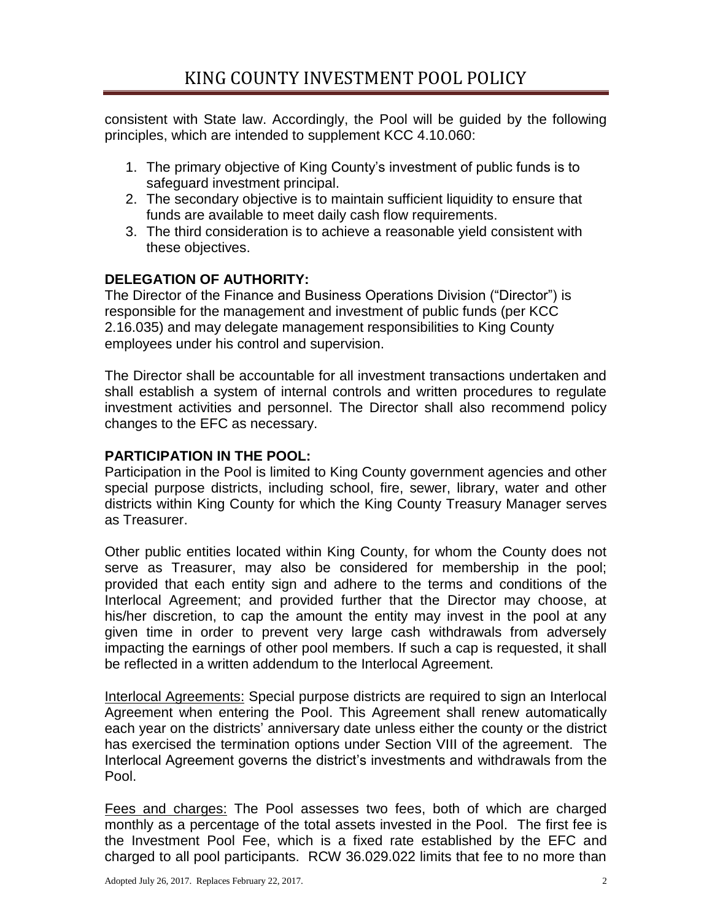consistent with State law. Accordingly, the Pool will be guided by the following principles, which are intended to supplement KCC 4.10.060:

- 1. The primary objective of King County's investment of public funds is to safeguard investment principal.
- 2. The secondary objective is to maintain sufficient liquidity to ensure that funds are available to meet daily cash flow requirements.
- 3. The third consideration is to achieve a reasonable yield consistent with these objectives.

# **DELEGATION OF AUTHORITY:**

The Director of the Finance and Business Operations Division ("Director") is responsible for the management and investment of public funds (per KCC 2.16.035) and may delegate management responsibilities to King County employees under his control and supervision.

The Director shall be accountable for all investment transactions undertaken and shall establish a system of internal controls and written procedures to regulate investment activities and personnel. The Director shall also recommend policy changes to the EFC as necessary.

# **PARTICIPATION IN THE POOL:**

Participation in the Pool is limited to King County government agencies and other special purpose districts, including school, fire, sewer, library, water and other districts within King County for which the King County Treasury Manager serves as Treasurer.

Other public entities located within King County, for whom the County does not serve as Treasurer, may also be considered for membership in the pool; provided that each entity sign and adhere to the terms and conditions of the Interlocal Agreement; and provided further that the Director may choose, at his/her discretion, to cap the amount the entity may invest in the pool at any given time in order to prevent very large cash withdrawals from adversely impacting the earnings of other pool members. If such a cap is requested, it shall be reflected in a written addendum to the Interlocal Agreement.

Interlocal Agreements: Special purpose districts are required to sign an Interlocal Agreement when entering the Pool. This Agreement shall renew automatically each year on the districts' anniversary date unless either the county or the district has exercised the termination options under Section VIII of the agreement. The Interlocal Agreement governs the district's investments and withdrawals from the Pool.

Fees and charges: The Pool assesses two fees, both of which are charged monthly as a percentage of the total assets invested in the Pool. The first fee is the Investment Pool Fee, which is a fixed rate established by the EFC and charged to all pool participants. RCW 36.029.022 limits that fee to no more than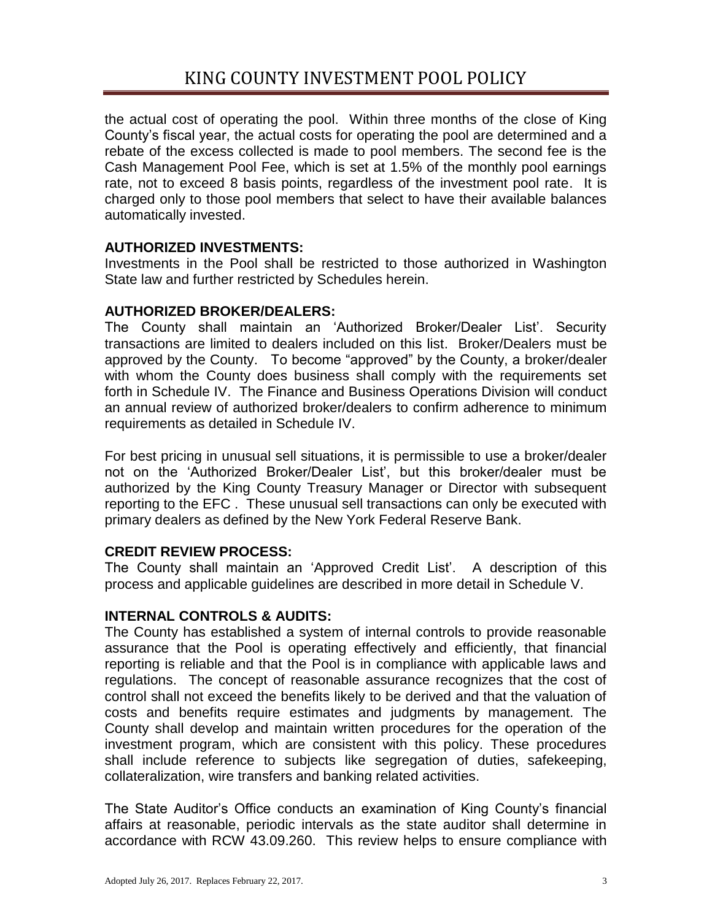the actual cost of operating the pool. Within three months of the close of King County's fiscal year, the actual costs for operating the pool are determined and a rebate of the excess collected is made to pool members. The second fee is the Cash Management Pool Fee, which is set at 1.5% of the monthly pool earnings rate, not to exceed 8 basis points, regardless of the investment pool rate. It is charged only to those pool members that select to have their available balances automatically invested.

# **AUTHORIZED INVESTMENTS:**

Investments in the Pool shall be restricted to those authorized in Washington State law and further restricted by Schedules herein.

# **AUTHORIZED BROKER/DEALERS:**

The County shall maintain an 'Authorized Broker/Dealer List'. Security transactions are limited to dealers included on this list. Broker/Dealers must be approved by the County. To become "approved" by the County, a broker/dealer with whom the County does business shall comply with the requirements set forth in Schedule IV. The Finance and Business Operations Division will conduct an annual review of authorized broker/dealers to confirm adherence to minimum requirements as detailed in Schedule IV.

For best pricing in unusual sell situations, it is permissible to use a broker/dealer not on the 'Authorized Broker/Dealer List', but this broker/dealer must be authorized by the King County Treasury Manager or Director with subsequent reporting to the EFC . These unusual sell transactions can only be executed with primary dealers as defined by the New York Federal Reserve Bank.

# **CREDIT REVIEW PROCESS:**

The County shall maintain an 'Approved Credit List'. A description of this process and applicable guidelines are described in more detail in Schedule V.

## **INTERNAL CONTROLS & AUDITS:**

The County has established a system of internal controls to provide reasonable assurance that the Pool is operating effectively and efficiently, that financial reporting is reliable and that the Pool is in compliance with applicable laws and regulations. The concept of reasonable assurance recognizes that the cost of control shall not exceed the benefits likely to be derived and that the valuation of costs and benefits require estimates and judgments by management. The County shall develop and maintain written procedures for the operation of the investment program, which are consistent with this policy. These procedures shall include reference to subjects like segregation of duties, safekeeping, collateralization, wire transfers and banking related activities.

The State Auditor's Office conducts an examination of King County's financial affairs at reasonable, periodic intervals as the state auditor shall determine in accordance with RCW 43.09.260. This review helps to ensure compliance with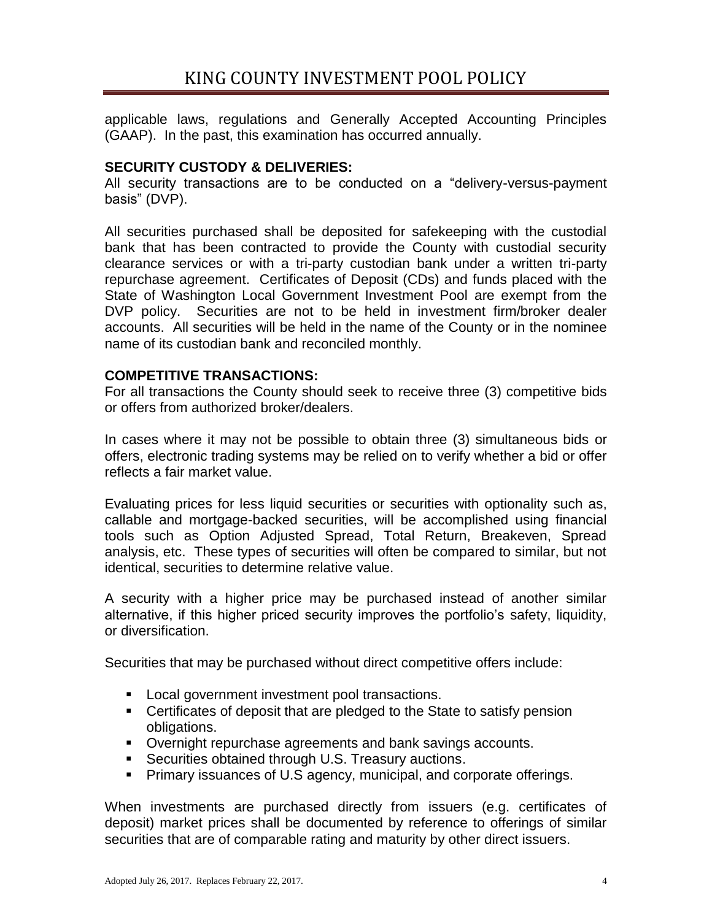applicable laws, regulations and Generally Accepted Accounting Principles (GAAP). In the past, this examination has occurred annually.

# **SECURITY CUSTODY & DELIVERIES:**

All security transactions are to be conducted on a "delivery-versus-payment basis" (DVP).

All securities purchased shall be deposited for safekeeping with the custodial bank that has been contracted to provide the County with custodial security clearance services or with a tri-party custodian bank under a written tri-party repurchase agreement. Certificates of Deposit (CDs) and funds placed with the State of Washington Local Government Investment Pool are exempt from the DVP policy. Securities are not to be held in investment firm/broker dealer accounts. All securities will be held in the name of the County or in the nominee name of its custodian bank and reconciled monthly.

## **COMPETITIVE TRANSACTIONS:**

For all transactions the County should seek to receive three (3) competitive bids or offers from authorized broker/dealers.

In cases where it may not be possible to obtain three (3) simultaneous bids or offers, electronic trading systems may be relied on to verify whether a bid or offer reflects a fair market value.

Evaluating prices for less liquid securities or securities with optionality such as, callable and mortgage-backed securities, will be accomplished using financial tools such as Option Adjusted Spread, Total Return, Breakeven, Spread analysis, etc. These types of securities will often be compared to similar, but not identical, securities to determine relative value.

A security with a higher price may be purchased instead of another similar alternative, if this higher priced security improves the portfolio's safety, liquidity, or diversification.

Securities that may be purchased without direct competitive offers include:

- **Local government investment pool transactions.**
- Certificates of deposit that are pledged to the State to satisfy pension obligations.
- Overnight repurchase agreements and bank savings accounts.
- **Securities obtained through U.S. Treasury auctions.**
- **Primary issuances of U.S agency, municipal, and corporate offerings.**

When investments are purchased directly from issuers (e.g. certificates of deposit) market prices shall be documented by reference to offerings of similar securities that are of comparable rating and maturity by other direct issuers.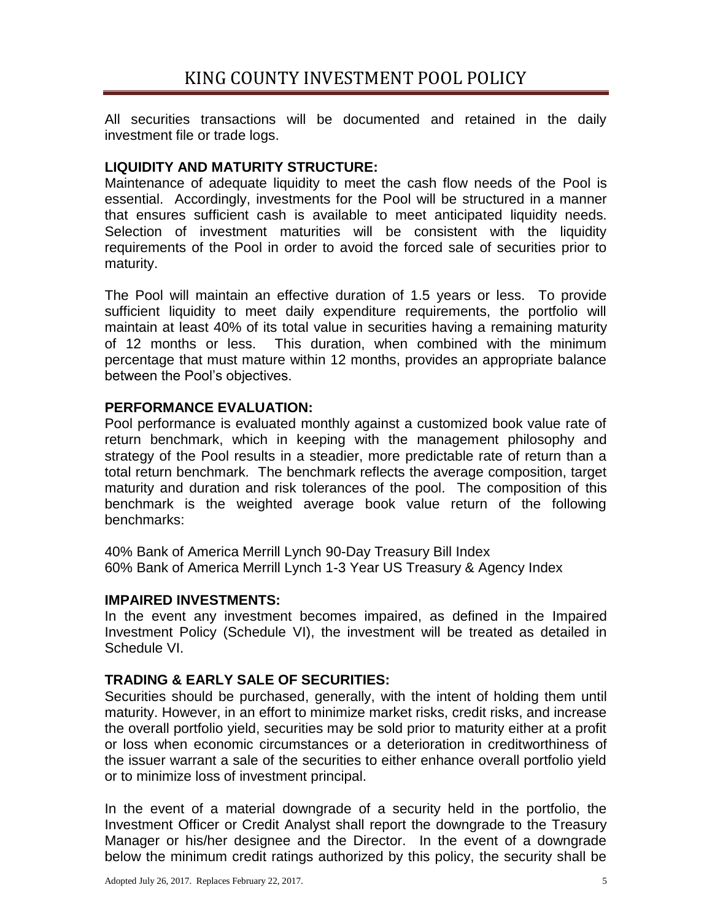All securities transactions will be documented and retained in the daily investment file or trade logs.

# **LIQUIDITY AND MATURITY STRUCTURE:**

Maintenance of adequate liquidity to meet the cash flow needs of the Pool is essential. Accordingly, investments for the Pool will be structured in a manner that ensures sufficient cash is available to meet anticipated liquidity needs. Selection of investment maturities will be consistent with the liquidity requirements of the Pool in order to avoid the forced sale of securities prior to maturity.

The Pool will maintain an effective duration of 1.5 years or less. To provide sufficient liquidity to meet daily expenditure requirements, the portfolio will maintain at least 40% of its total value in securities having a remaining maturity of 12 months or less. This duration, when combined with the minimum percentage that must mature within 12 months, provides an appropriate balance between the Pool's objectives.

## **PERFORMANCE EVALUATION:**

Pool performance is evaluated monthly against a customized book value rate of return benchmark, which in keeping with the management philosophy and strategy of the Pool results in a steadier, more predictable rate of return than a total return benchmark. The benchmark reflects the average composition, target maturity and duration and risk tolerances of the pool. The composition of this benchmark is the weighted average book value return of the following benchmarks:

40% Bank of America Merrill Lynch 90-Day Treasury Bill Index 60% Bank of America Merrill Lynch 1-3 Year US Treasury & Agency Index

## **IMPAIRED INVESTMENTS:**

In the event any investment becomes impaired, as defined in the Impaired Investment Policy (Schedule VI), the investment will be treated as detailed in Schedule VI.

## **TRADING & EARLY SALE OF SECURITIES:**

Securities should be purchased, generally, with the intent of holding them until maturity. However, in an effort to minimize market risks, credit risks, and increase the overall portfolio yield, securities may be sold prior to maturity either at a profit or loss when economic circumstances or a deterioration in creditworthiness of the issuer warrant a sale of the securities to either enhance overall portfolio yield or to minimize loss of investment principal.

In the event of a material downgrade of a security held in the portfolio, the Investment Officer or Credit Analyst shall report the downgrade to the Treasury Manager or his/her designee and the Director. In the event of a downgrade below the minimum credit ratings authorized by this policy, the security shall be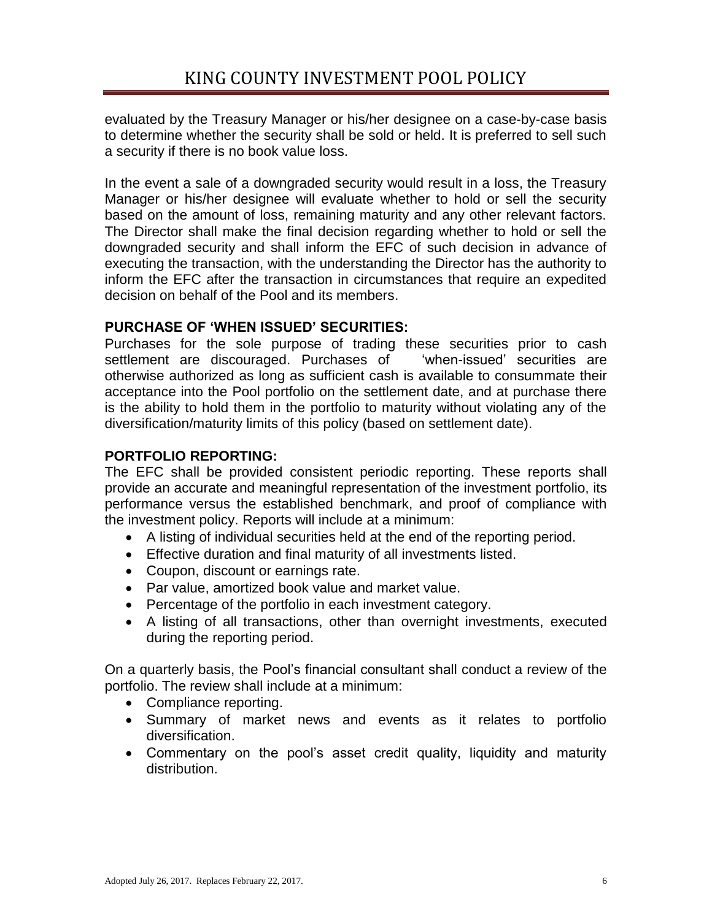evaluated by the Treasury Manager or his/her designee on a case-by-case basis to determine whether the security shall be sold or held. It is preferred to sell such a security if there is no book value loss.

In the event a sale of a downgraded security would result in a loss, the Treasury Manager or his/her designee will evaluate whether to hold or sell the security based on the amount of loss, remaining maturity and any other relevant factors. The Director shall make the final decision regarding whether to hold or sell the downgraded security and shall inform the EFC of such decision in advance of executing the transaction, with the understanding the Director has the authority to inform the EFC after the transaction in circumstances that require an expedited decision on behalf of the Pool and its members.

# **PURCHASE OF 'WHEN ISSUED' SECURITIES:**

Purchases for the sole purpose of trading these securities prior to cash settlement are discouraged. Purchases of 
"when-issued" securities are otherwise authorized as long as sufficient cash is available to consummate their acceptance into the Pool portfolio on the settlement date, and at purchase there is the ability to hold them in the portfolio to maturity without violating any of the diversification/maturity limits of this policy (based on settlement date).

# **PORTFOLIO REPORTING:**

The EFC shall be provided consistent periodic reporting. These reports shall provide an accurate and meaningful representation of the investment portfolio, its performance versus the established benchmark, and proof of compliance with the investment policy. Reports will include at a minimum:

- A listing of individual securities held at the end of the reporting period.
- Effective duration and final maturity of all investments listed.
- Coupon, discount or earnings rate.
- Par value, amortized book value and market value.
- Percentage of the portfolio in each investment category.
- A listing of all transactions, other than overnight investments, executed during the reporting period.

On a quarterly basis, the Pool's financial consultant shall conduct a review of the portfolio. The review shall include at a minimum:

- Compliance reporting.
- Summary of market news and events as it relates to portfolio diversification.
- Commentary on the pool's asset credit quality, liquidity and maturity distribution.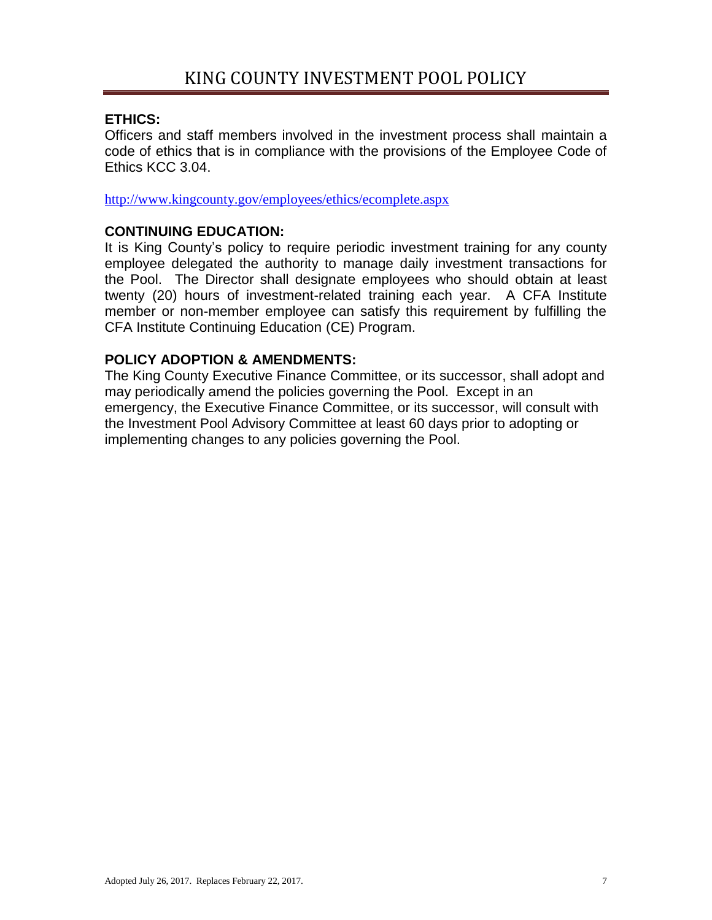#### **ETHICS:**

Officers and staff members involved in the investment process shall maintain a code of ethics that is in compliance with the provisions of the Employee Code of Ethics KCC 3.04.

<http://www.kingcounty.gov/employees/ethics/ecomplete.aspx>

#### **CONTINUING EDUCATION:**

It is King County's policy to require periodic investment training for any county employee delegated the authority to manage daily investment transactions for the Pool. The Director shall designate employees who should obtain at least twenty (20) hours of investment-related training each year. A CFA Institute member or non-member employee can satisfy this requirement by fulfilling the CFA Institute Continuing Education (CE) Program.

## **POLICY ADOPTION & AMENDMENTS:**

The King County Executive Finance Committee, or its successor, shall adopt and may periodically amend the policies governing the Pool. Except in an emergency, the Executive Finance Committee, or its successor, will consult with the Investment Pool Advisory Committee at least 60 days prior to adopting or implementing changes to any policies governing the Pool.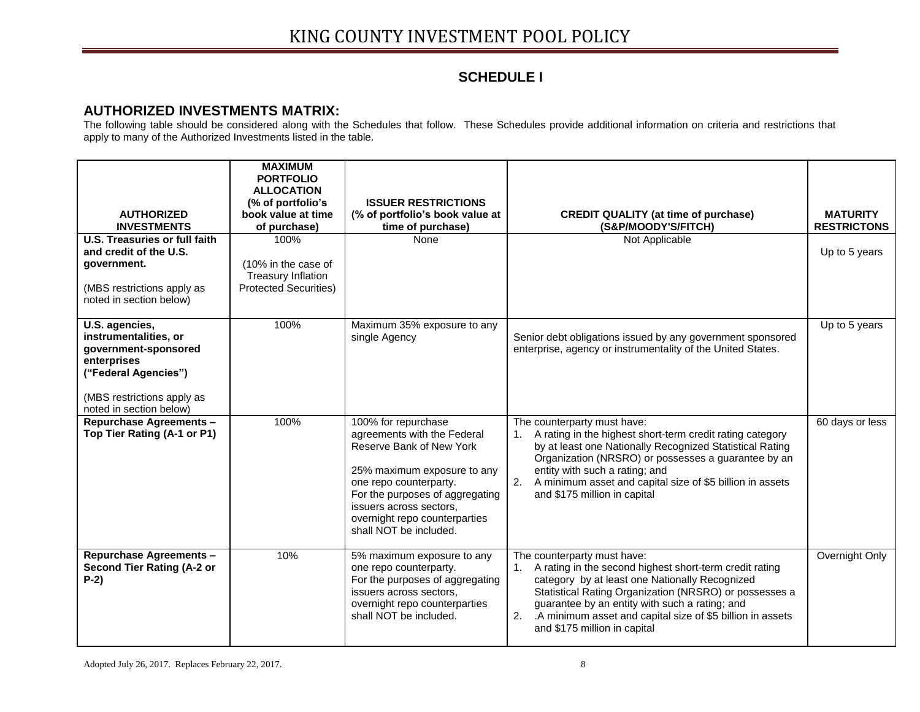# **SCHEDULE I**

#### **AUTHORIZED INVESTMENTS MATRIX:**

The following table should be considered along with the Schedules that follow. These Schedules provide additional information on criteria and restrictions that apply to many of the Authorized Investments listed in the table.

| <b>AUTHORIZED</b><br><b>INVESTMENTS</b><br>U.S. Treasuries or full faith                                                                                        | <b>MAXIMUM</b><br><b>PORTFOLIO</b><br><b>ALLOCATION</b><br>(% of portfolio's<br>book value at time<br>of purchase)<br>100% | <b>ISSUER RESTRICTIONS</b><br>(% of portfolio's book value at<br>time of purchase)<br>None                                                                                                                                                                       | <b>CREDIT QUALITY (at time of purchase)</b><br>(S&P/MOODY'S/FITCH)<br>Not Applicable                                                                                                                                                                                                                                                                       | <b>MATURITY</b><br><b>RESTRICTONS</b> |
|-----------------------------------------------------------------------------------------------------------------------------------------------------------------|----------------------------------------------------------------------------------------------------------------------------|------------------------------------------------------------------------------------------------------------------------------------------------------------------------------------------------------------------------------------------------------------------|------------------------------------------------------------------------------------------------------------------------------------------------------------------------------------------------------------------------------------------------------------------------------------------------------------------------------------------------------------|---------------------------------------|
| and credit of the U.S.<br>government.<br>(MBS restrictions apply as<br>noted in section below)                                                                  | (10% in the case of<br><b>Treasury Inflation</b><br><b>Protected Securities)</b>                                           |                                                                                                                                                                                                                                                                  |                                                                                                                                                                                                                                                                                                                                                            | Up to 5 years                         |
| U.S. agencies,<br>instrumentalities, or<br>government-sponsored<br>enterprises<br>("Federal Agencies")<br>(MBS restrictions apply as<br>noted in section below) | 100%                                                                                                                       | Maximum 35% exposure to any<br>single Agency                                                                                                                                                                                                                     | Senior debt obligations issued by any government sponsored<br>enterprise, agency or instrumentality of the United States.                                                                                                                                                                                                                                  | Up to 5 years                         |
| <b>Repurchase Agreements -</b><br>Top Tier Rating (A-1 or P1)                                                                                                   | 100%                                                                                                                       | 100% for repurchase<br>agreements with the Federal<br>Reserve Bank of New York<br>25% maximum exposure to any<br>one repo counterparty.<br>For the purposes of aggregating<br>issuers across sectors.<br>overnight repo counterparties<br>shall NOT be included. | The counterparty must have:<br>1. A rating in the highest short-term credit rating category<br>by at least one Nationally Recognized Statistical Rating<br>Organization (NRSRO) or possesses a guarantee by an<br>entity with such a rating; and<br>2. A minimum asset and capital size of \$5 billion in assets<br>and \$175 million in capital           | 60 days or less                       |
| <b>Repurchase Agreements -</b><br>Second Tier Rating (A-2 or<br>$P-2)$                                                                                          | 10%                                                                                                                        | 5% maximum exposure to any<br>one repo counterparty.<br>For the purposes of aggregating<br>issuers across sectors,<br>overnight repo counterparties<br>shall NOT be included.                                                                                    | The counterparty must have:<br>A rating in the second highest short-term credit rating<br>1.<br>category by at least one Nationally Recognized<br>Statistical Rating Organization (NRSRO) or possesses a<br>guarantee by an entity with such a rating; and<br>2. A minimum asset and capital size of \$5 billion in assets<br>and \$175 million in capital | Overnight Only                        |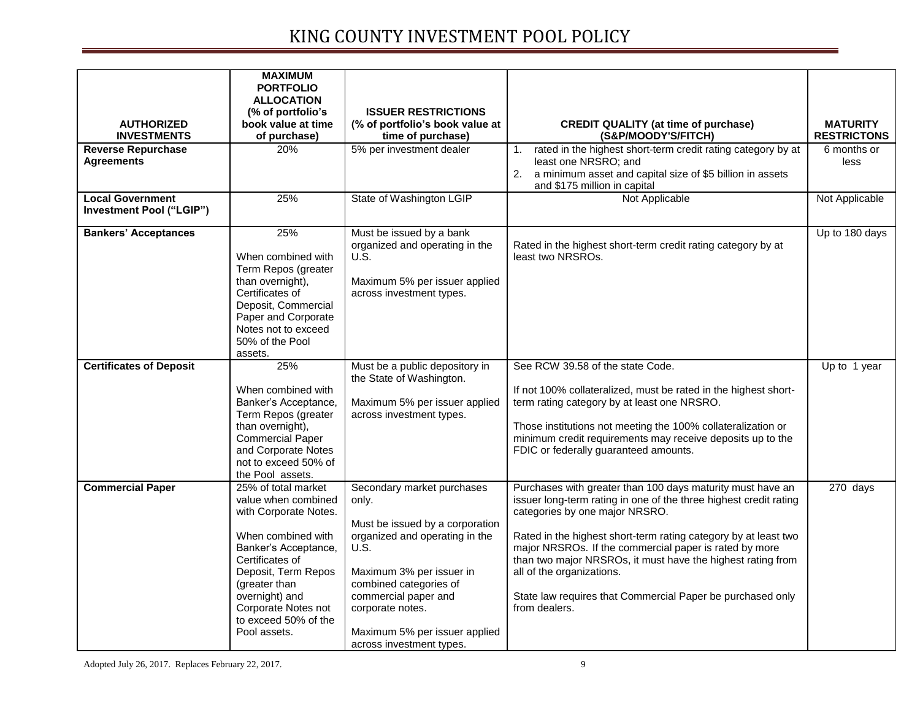| <b>AUTHORIZED</b><br><b>INVESTMENTS</b>             | <b>MAXIMUM</b><br><b>PORTFOLIO</b><br><b>ALLOCATION</b><br>(% of portfolio's<br>book value at time<br>of purchase)                                                                                                                                            | <b>ISSUER RESTRICTIONS</b><br>(% of portfolio's book value at<br>time of purchase)                                                                                                                                                                                              | <b>CREDIT QUALITY (at time of purchase)</b><br>(S&P/MOODY'S/FITCH)                                                                                                                                                                                                                                                                                                                                                                                                        | <b>MATURITY</b><br><b>RESTRICTONS</b> |
|-----------------------------------------------------|---------------------------------------------------------------------------------------------------------------------------------------------------------------------------------------------------------------------------------------------------------------|---------------------------------------------------------------------------------------------------------------------------------------------------------------------------------------------------------------------------------------------------------------------------------|---------------------------------------------------------------------------------------------------------------------------------------------------------------------------------------------------------------------------------------------------------------------------------------------------------------------------------------------------------------------------------------------------------------------------------------------------------------------------|---------------------------------------|
| <b>Reverse Repurchase</b><br><b>Agreements</b>      | 20%                                                                                                                                                                                                                                                           | 5% per investment dealer                                                                                                                                                                                                                                                        | rated in the highest short-term credit rating category by at<br>1.<br>least one NRSRO; and<br>2.<br>a minimum asset and capital size of \$5 billion in assets<br>and \$175 million in capital                                                                                                                                                                                                                                                                             | 6 months or<br>less                   |
| <b>Local Government</b><br>Investment Pool ("LGIP") | 25%                                                                                                                                                                                                                                                           | State of Washington LGIP                                                                                                                                                                                                                                                        | Not Applicable                                                                                                                                                                                                                                                                                                                                                                                                                                                            | Not Applicable                        |
| <b>Bankers' Acceptances</b>                         | 25%<br>When combined with<br>Term Repos (greater<br>than overnight),<br>Certificates of<br>Deposit, Commercial<br>Paper and Corporate<br>Notes not to exceed<br>50% of the Pool<br>assets.                                                                    | Must be issued by a bank<br>organized and operating in the<br>U.S.<br>Maximum 5% per issuer applied<br>across investment types.                                                                                                                                                 | Rated in the highest short-term credit rating category by at<br>least two NRSROs.                                                                                                                                                                                                                                                                                                                                                                                         | Up to 180 days                        |
| <b>Certificates of Deposit</b>                      | 25%<br>When combined with<br>Banker's Acceptance,<br>Term Repos (greater<br>than overnight),<br><b>Commercial Paper</b><br>and Corporate Notes<br>not to exceed 50% of<br>the Pool assets.                                                                    | Must be a public depository in<br>the State of Washington.<br>Maximum 5% per issuer applied<br>across investment types.                                                                                                                                                         | See RCW 39.58 of the state Code.<br>If not 100% collateralized, must be rated in the highest short-<br>term rating category by at least one NRSRO.<br>Those institutions not meeting the 100% collateralization or<br>minimum credit requirements may receive deposits up to the<br>FDIC or federally guaranteed amounts.                                                                                                                                                 | Up to 1 year                          |
| <b>Commercial Paper</b>                             | 25% of total market<br>value when combined<br>with Corporate Notes.<br>When combined with<br>Banker's Acceptance,<br>Certificates of<br>Deposit, Term Repos<br>(greater than<br>overnight) and<br>Corporate Notes not<br>to exceed 50% of the<br>Pool assets. | Secondary market purchases<br>only.<br>Must be issued by a corporation<br>organized and operating in the<br>U.S.<br>Maximum 3% per issuer in<br>combined categories of<br>commercial paper and<br>corporate notes.<br>Maximum 5% per issuer applied<br>across investment types. | Purchases with greater than 100 days maturity must have an<br>issuer long-term rating in one of the three highest credit rating<br>categories by one major NRSRO.<br>Rated in the highest short-term rating category by at least two<br>major NRSROs. If the commercial paper is rated by more<br>than two major NRSROs, it must have the highest rating from<br>all of the organizations.<br>State law requires that Commercial Paper be purchased only<br>from dealers. | 270 days                              |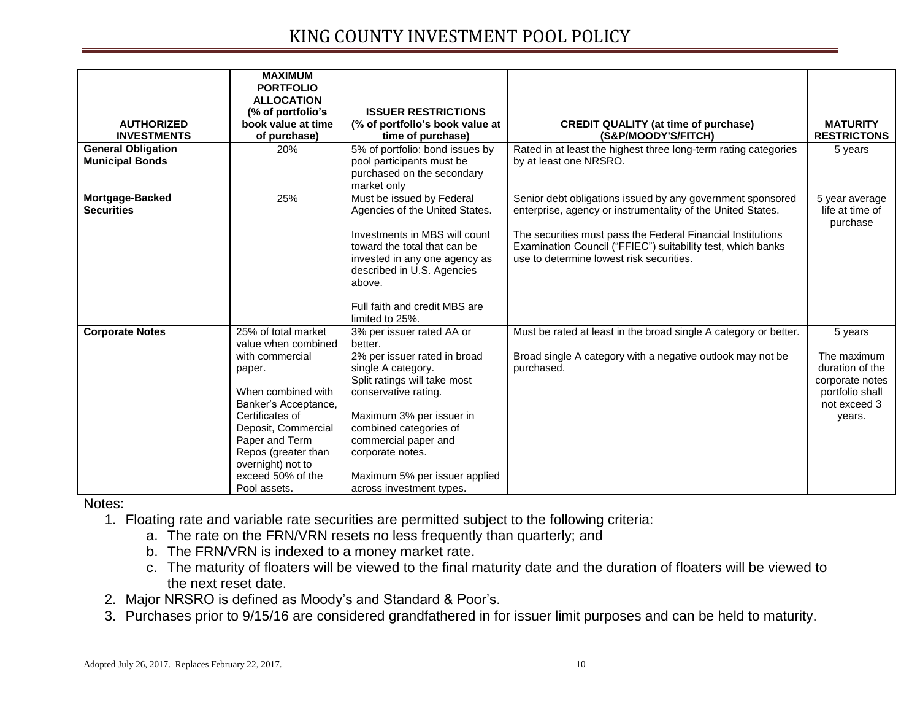|                           | <b>MAXIMUM</b>       |                                                  |                                                                  |                             |
|---------------------------|----------------------|--------------------------------------------------|------------------------------------------------------------------|-----------------------------|
|                           | <b>PORTFOLIO</b>     |                                                  |                                                                  |                             |
|                           | <b>ALLOCATION</b>    |                                                  |                                                                  |                             |
|                           | (% of portfolio's    | <b>ISSUER RESTRICTIONS</b>                       |                                                                  |                             |
| <b>AUTHORIZED</b>         | book value at time   | (% of portfolio's book value at                  | <b>CREDIT QUALITY (at time of purchase)</b>                      | <b>MATURITY</b>             |
| <b>INVESTMENTS</b>        | of purchase)         | time of purchase)                                | (S&P/MOODY'S/FITCH)                                              | <b>RESTRICTONS</b>          |
| <b>General Obligation</b> | 20%                  | 5% of portfolio: bond issues by                  | Rated in at least the highest three long-term rating categories  | 5 years                     |
| <b>Municipal Bonds</b>    |                      | pool participants must be                        | by at least one NRSRO.                                           |                             |
|                           |                      | purchased on the secondary                       |                                                                  |                             |
|                           |                      | market only                                      |                                                                  |                             |
| Mortgage-Backed           | 25%                  | Must be issued by Federal                        | Senior debt obligations issued by any government sponsored       | 5 year average              |
| <b>Securities</b>         |                      | Agencies of the United States.                   | enterprise, agency or instrumentality of the United States.      | life at time of<br>purchase |
|                           |                      | Investments in MBS will count                    | The securities must pass the Federal Financial Institutions      |                             |
|                           |                      | toward the total that can be                     | Examination Council ("FFIEC") suitability test, which banks      |                             |
|                           |                      | invested in any one agency as                    | use to determine lowest risk securities.                         |                             |
|                           |                      | described in U.S. Agencies                       |                                                                  |                             |
|                           |                      | above.                                           |                                                                  |                             |
|                           |                      |                                                  |                                                                  |                             |
|                           |                      | Full faith and credit MBS are<br>limited to 25%. |                                                                  |                             |
| <b>Corporate Notes</b>    | 25% of total market  | 3% per issuer rated AA or                        | Must be rated at least in the broad single A category or better. |                             |
|                           | value when combined  | better.                                          |                                                                  | 5 years                     |
|                           | with commercial      | 2% per issuer rated in broad                     | Broad single A category with a negative outlook may not be       | The maximum                 |
|                           | paper.               | single A category.                               | purchased.                                                       | duration of the             |
|                           |                      | Split ratings will take most                     |                                                                  | corporate notes             |
|                           | When combined with   | conservative rating.                             |                                                                  | portfolio shall             |
|                           | Banker's Acceptance, |                                                  |                                                                  | not exceed 3                |
|                           | Certificates of      | Maximum 3% per issuer in                         |                                                                  | years.                      |
|                           | Deposit, Commercial  | combined categories of                           |                                                                  |                             |
|                           | Paper and Term       | commercial paper and                             |                                                                  |                             |
|                           | Repos (greater than  | corporate notes.                                 |                                                                  |                             |
|                           | overnight) not to    |                                                  |                                                                  |                             |
|                           | exceed 50% of the    | Maximum 5% per issuer applied                    |                                                                  |                             |
|                           | Pool assets.         | across investment types.                         |                                                                  |                             |

Notes:

1. Floating rate and variable rate securities are permitted subject to the following criteria:

a. The rate on the FRN/VRN resets no less frequently than quarterly; and

- b. The FRN/VRN is indexed to a money market rate.
- c. The maturity of floaters will be viewed to the final maturity date and the duration of floaters will be viewed to the next reset date.
- 2. Major NRSRO is defined as Moody's and Standard & Poor's.
- 3. Purchases prior to 9/15/16 are considered grandfathered in for issuer limit purposes and can be held to maturity.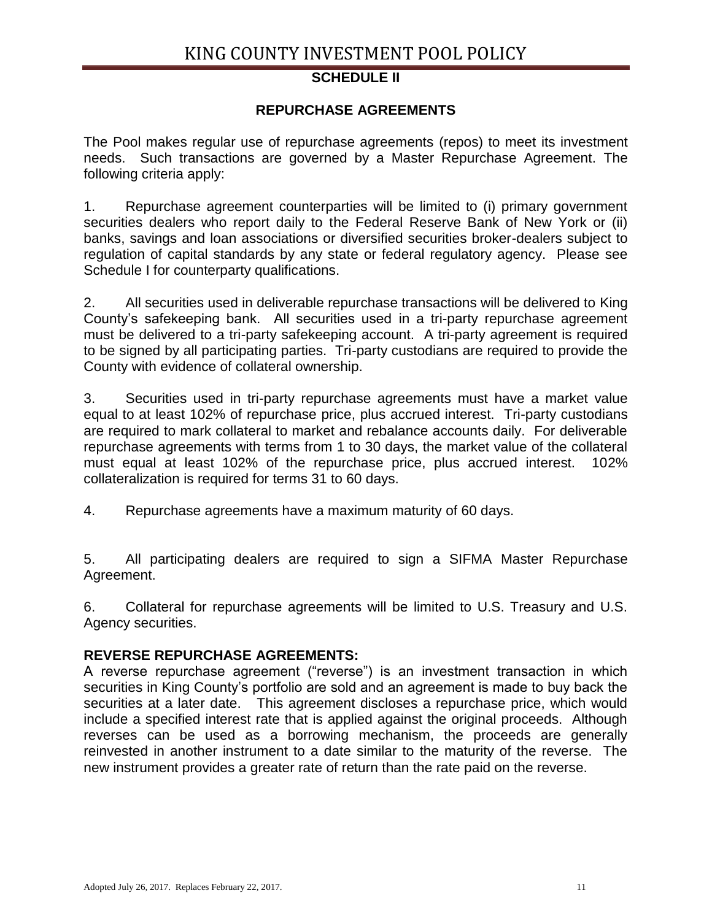#### **SCHEDULE II**

#### **REPURCHASE AGREEMENTS**

The Pool makes regular use of repurchase agreements (repos) to meet its investment needs. Such transactions are governed by a Master Repurchase Agreement. The following criteria apply:

1. Repurchase agreement counterparties will be limited to (i) primary government securities dealers who report daily to the Federal Reserve Bank of New York or (ii) banks, savings and loan associations or diversified securities broker-dealers subject to regulation of capital standards by any state or federal regulatory agency. Please see Schedule I for counterparty qualifications.

2. All securities used in deliverable repurchase transactions will be delivered to King County's safekeeping bank. All securities used in a tri-party repurchase agreement must be delivered to a tri-party safekeeping account. A tri-party agreement is required to be signed by all participating parties. Tri-party custodians are required to provide the County with evidence of collateral ownership.

3. Securities used in tri-party repurchase agreements must have a market value equal to at least 102% of repurchase price, plus accrued interest. Tri-party custodians are required to mark collateral to market and rebalance accounts daily. For deliverable repurchase agreements with terms from 1 to 30 days, the market value of the collateral must equal at least 102% of the repurchase price, plus accrued interest. 102% collateralization is required for terms 31 to 60 days.

4. Repurchase agreements have a maximum maturity of 60 days.

5. All participating dealers are required to sign a SIFMA Master Repurchase Agreement.

6. Collateral for repurchase agreements will be limited to U.S. Treasury and U.S. Agency securities.

#### **REVERSE REPURCHASE AGREEMENTS:**

A reverse repurchase agreement ("reverse") is an investment transaction in which securities in King County's portfolio are sold and an agreement is made to buy back the securities at a later date. This agreement discloses a repurchase price, which would include a specified interest rate that is applied against the original proceeds. Although reverses can be used as a borrowing mechanism, the proceeds are generally reinvested in another instrument to a date similar to the maturity of the reverse. The new instrument provides a greater rate of return than the rate paid on the reverse.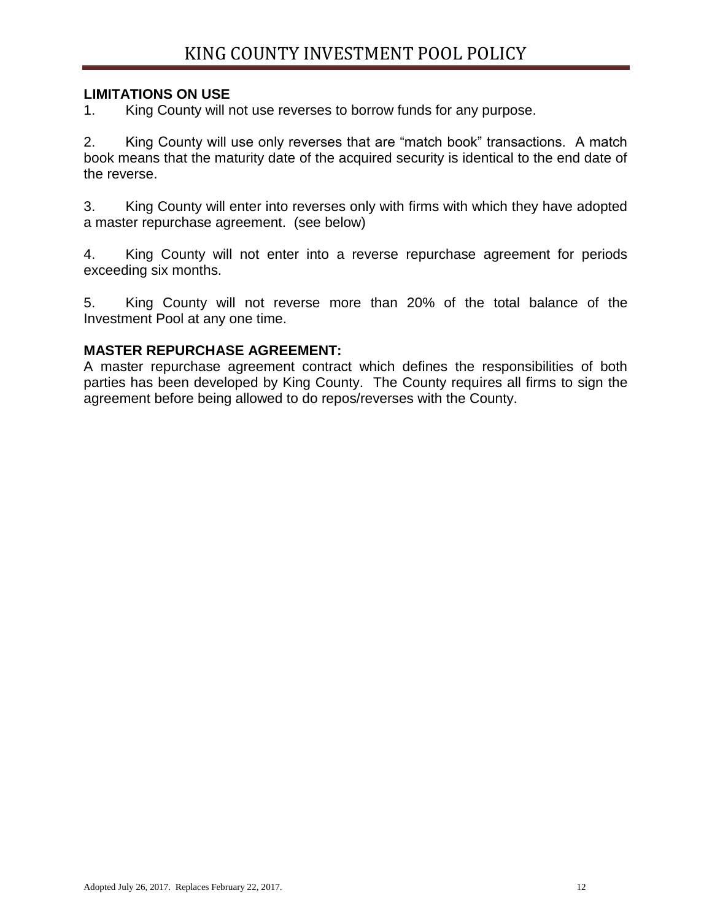## **LIMITATIONS ON USE**

1. King County will not use reverses to borrow funds for any purpose.

2. King County will use only reverses that are "match book" transactions. A match book means that the maturity date of the acquired security is identical to the end date of the reverse.

3. King County will enter into reverses only with firms with which they have adopted a master repurchase agreement. (see below)

4. King County will not enter into a reverse repurchase agreement for periods exceeding six months.

5. King County will not reverse more than 20% of the total balance of the Investment Pool at any one time.

#### **MASTER REPURCHASE AGREEMENT:**

A master repurchase agreement contract which defines the responsibilities of both parties has been developed by King County. The County requires all firms to sign the agreement before being allowed to do repos/reverses with the County.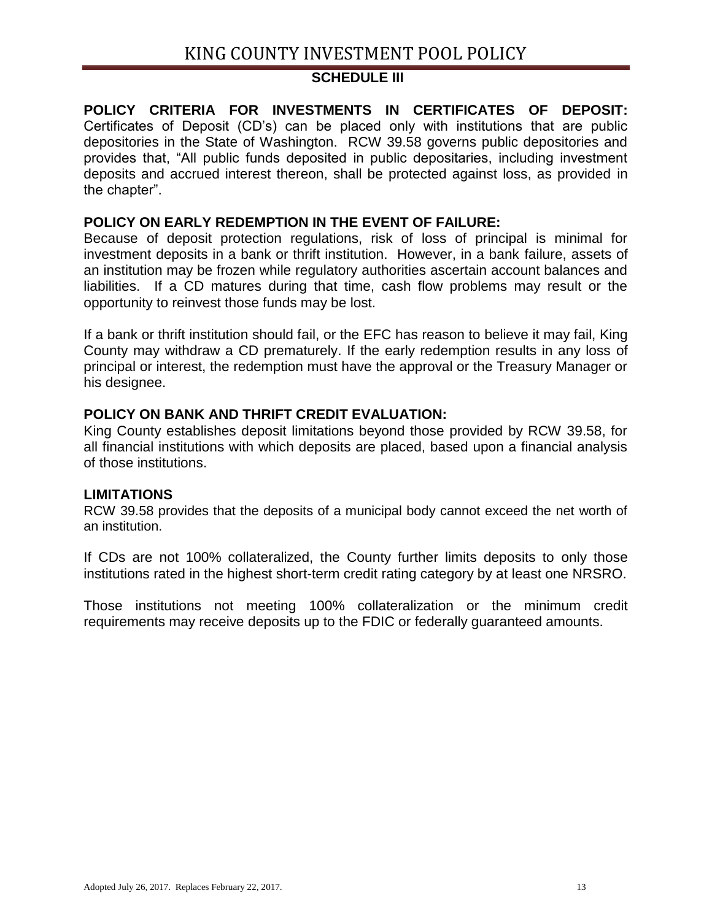#### **SCHEDULE III**

**POLICY CRITERIA FOR INVESTMENTS IN CERTIFICATES OF DEPOSIT:** Certificates of Deposit (CD's) can be placed only with institutions that are public depositories in the State of Washington. RCW 39.58 governs public depositories and provides that, "All public funds deposited in public depositaries, including investment deposits and accrued interest thereon, shall be protected against loss, as provided in the chapter".

#### **POLICY ON EARLY REDEMPTION IN THE EVENT OF FAILURE:**

Because of deposit protection regulations, risk of loss of principal is minimal for investment deposits in a bank or thrift institution. However, in a bank failure, assets of an institution may be frozen while regulatory authorities ascertain account balances and liabilities. If a CD matures during that time, cash flow problems may result or the opportunity to reinvest those funds may be lost.

If a bank or thrift institution should fail, or the EFC has reason to believe it may fail, King County may withdraw a CD prematurely. If the early redemption results in any loss of principal or interest, the redemption must have the approval or the Treasury Manager or his designee.

## **POLICY ON BANK AND THRIFT CREDIT EVALUATION:**

King County establishes deposit limitations beyond those provided by RCW 39.58, for all financial institutions with which deposits are placed, based upon a financial analysis of those institutions.

#### **LIMITATIONS**

RCW 39.58 provides that the deposits of a municipal body cannot exceed the net worth of an institution.

If CDs are not 100% collateralized, the County further limits deposits to only those institutions rated in the highest short-term credit rating category by at least one NRSRO.

Those institutions not meeting 100% collateralization or the minimum credit requirements may receive deposits up to the FDIC or federally guaranteed amounts.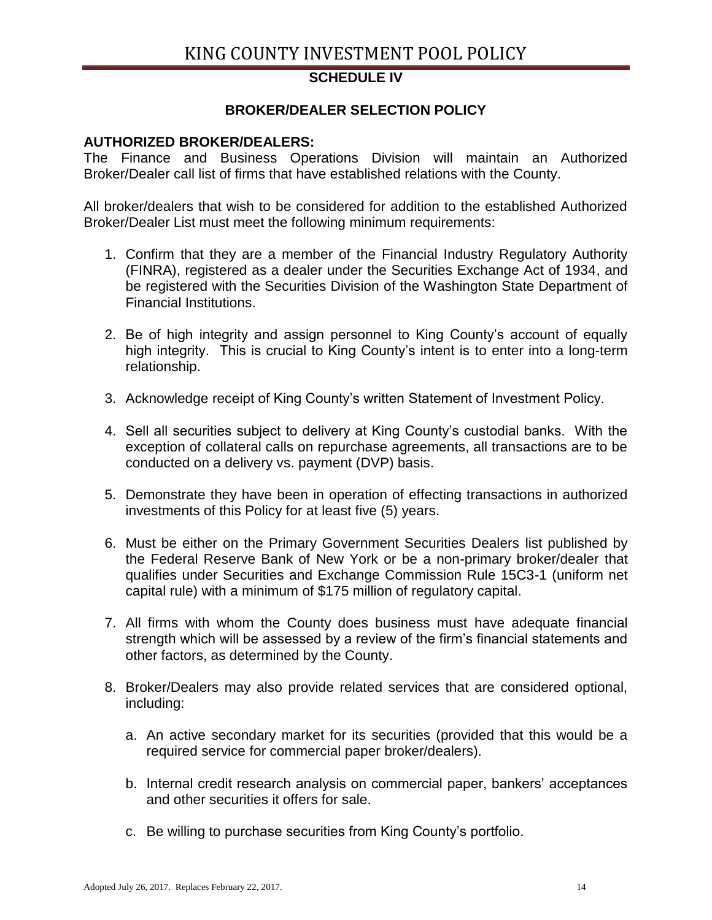# **SCHEDULE IV**

## **BROKER/DEALER SELECTION POLICY**

#### **AUTHORIZED BROKER/DEALERS:**

The Finance and Business Operations Division will maintain an Authorized Broker/Dealer call list of firms that have established relations with the County.

All broker/dealers that wish to be considered for addition to the established Authorized Broker/Dealer List must meet the following minimum requirements:

- 1. Confirm that they are a member of the Financial Industry Regulatory Authority (FINRA), registered as a dealer under the Securities Exchange Act of 1934, and be registered with the Securities Division of the Washington State Department of Financial Institutions.
- 2. Be of high integrity and assign personnel to King County's account of equally high integrity. This is crucial to King County's intent is to enter into a long-term relationship.
- 3. Acknowledge receipt of King County's written Statement of Investment Policy.
- 4. Sell all securities subject to delivery at King County's custodial banks. With the exception of collateral calls on repurchase agreements, all transactions are to be conducted on a delivery vs. payment (DVP) basis.
- 5. Demonstrate they have been in operation of effecting transactions in authorized investments of this Policy for at least five (5) years.
- 6. Must be either on the Primary Government Securities Dealers list published by the Federal Reserve Bank of New York or be a non-primary broker/dealer that qualifies under Securities and Exchange Commission Rule 15C3-1 (uniform net capital rule) with a minimum of \$175 million of regulatory capital.
- 7. All firms with whom the County does business must have adequate financial strength which will be assessed by a review of the firm's financial statements and other factors, as determined by the County.
- 8. Broker/Dealers may also provide related services that are considered optional, including:
	- a. An active secondary market for its securities (provided that this would be a required service for commercial paper broker/dealers).
	- b. Internal credit research analysis on commercial paper, bankers' acceptances and other securities it offers for sale.
	- c. Be willing to purchase securities from King County's portfolio.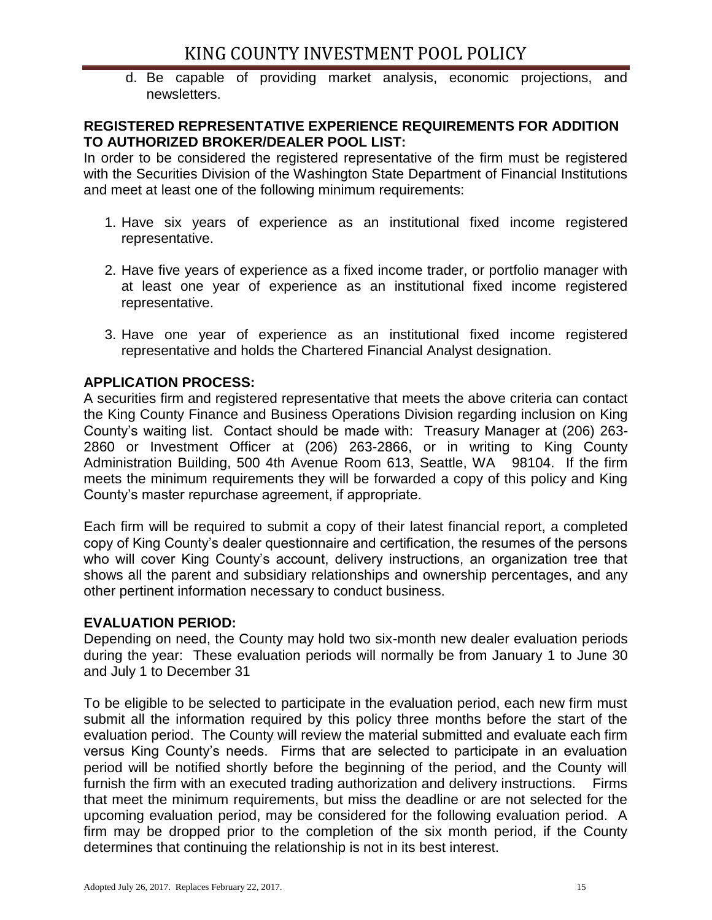d. Be capable of providing market analysis, economic projections, and newsletters.

## **REGISTERED REPRESENTATIVE EXPERIENCE REQUIREMENTS FOR ADDITION TO AUTHORIZED BROKER/DEALER POOL LIST:**

In order to be considered the registered representative of the firm must be registered with the Securities Division of the Washington State Department of Financial Institutions and meet at least one of the following minimum requirements:

- 1. Have six years of experience as an institutional fixed income registered representative.
- 2. Have five years of experience as a fixed income trader, or portfolio manager with at least one year of experience as an institutional fixed income registered representative.
- 3. Have one year of experience as an institutional fixed income registered representative and holds the Chartered Financial Analyst designation.

# **APPLICATION PROCESS:**

A securities firm and registered representative that meets the above criteria can contact the King County Finance and Business Operations Division regarding inclusion on King County's waiting list. Contact should be made with: Treasury Manager at (206) 263- 2860 or Investment Officer at (206) 263-2866, or in writing to King County Administration Building, 500 4th Avenue Room 613, Seattle, WA 98104. If the firm meets the minimum requirements they will be forwarded a copy of this policy and King County's master repurchase agreement, if appropriate.

Each firm will be required to submit a copy of their latest financial report, a completed copy of King County's dealer questionnaire and certification, the resumes of the persons who will cover King County's account, delivery instructions, an organization tree that shows all the parent and subsidiary relationships and ownership percentages, and any other pertinent information necessary to conduct business.

## **EVALUATION PERIOD:**

Depending on need, the County may hold two six-month new dealer evaluation periods during the year: These evaluation periods will normally be from January 1 to June 30 and July 1 to December 31

To be eligible to be selected to participate in the evaluation period, each new firm must submit all the information required by this policy three months before the start of the evaluation period. The County will review the material submitted and evaluate each firm versus King County's needs. Firms that are selected to participate in an evaluation period will be notified shortly before the beginning of the period, and the County will furnish the firm with an executed trading authorization and delivery instructions. Firms that meet the minimum requirements, but miss the deadline or are not selected for the upcoming evaluation period, may be considered for the following evaluation period. A firm may be dropped prior to the completion of the six month period, if the County determines that continuing the relationship is not in its best interest.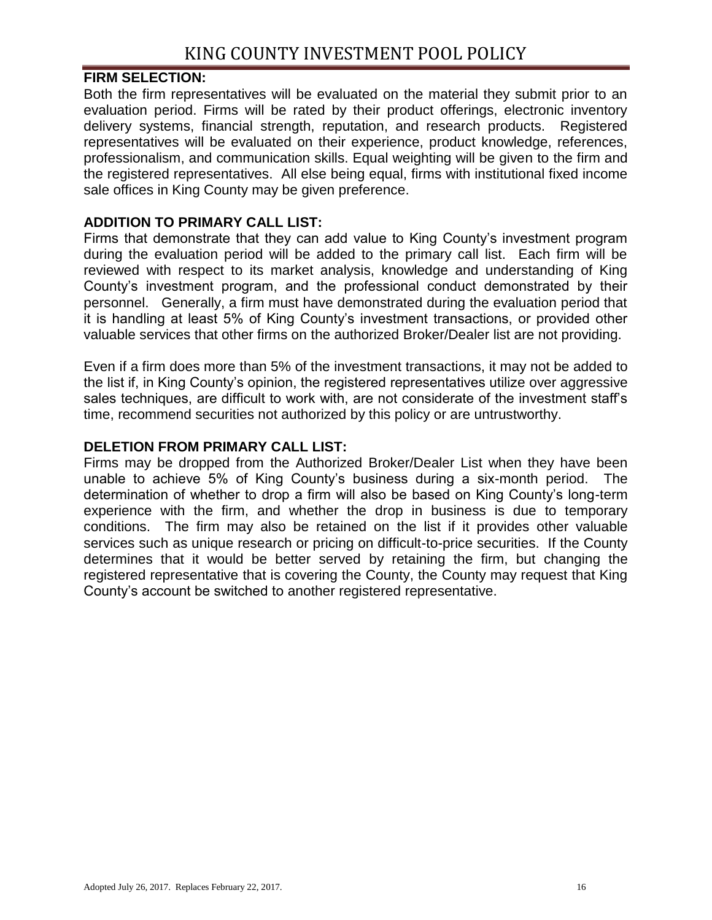## **FIRM SELECTION:**

Both the firm representatives will be evaluated on the material they submit prior to an evaluation period. Firms will be rated by their product offerings, electronic inventory delivery systems, financial strength, reputation, and research products. Registered representatives will be evaluated on their experience, product knowledge, references, professionalism, and communication skills. Equal weighting will be given to the firm and the registered representatives. All else being equal, firms with institutional fixed income sale offices in King County may be given preference.

# **ADDITION TO PRIMARY CALL LIST:**

Firms that demonstrate that they can add value to King County's investment program during the evaluation period will be added to the primary call list. Each firm will be reviewed with respect to its market analysis, knowledge and understanding of King County's investment program, and the professional conduct demonstrated by their personnel. Generally, a firm must have demonstrated during the evaluation period that it is handling at least 5% of King County's investment transactions, or provided other valuable services that other firms on the authorized Broker/Dealer list are not providing.

Even if a firm does more than 5% of the investment transactions, it may not be added to the list if, in King County's opinion, the registered representatives utilize over aggressive sales techniques, are difficult to work with, are not considerate of the investment staff's time, recommend securities not authorized by this policy or are untrustworthy.

## **DELETION FROM PRIMARY CALL LIST:**

Firms may be dropped from the Authorized Broker/Dealer List when they have been unable to achieve 5% of King County's business during a six-month period. The determination of whether to drop a firm will also be based on King County's long-term experience with the firm, and whether the drop in business is due to temporary conditions. The firm may also be retained on the list if it provides other valuable services such as unique research or pricing on difficult-to-price securities. If the County determines that it would be better served by retaining the firm, but changing the registered representative that is covering the County, the County may request that King County's account be switched to another registered representative.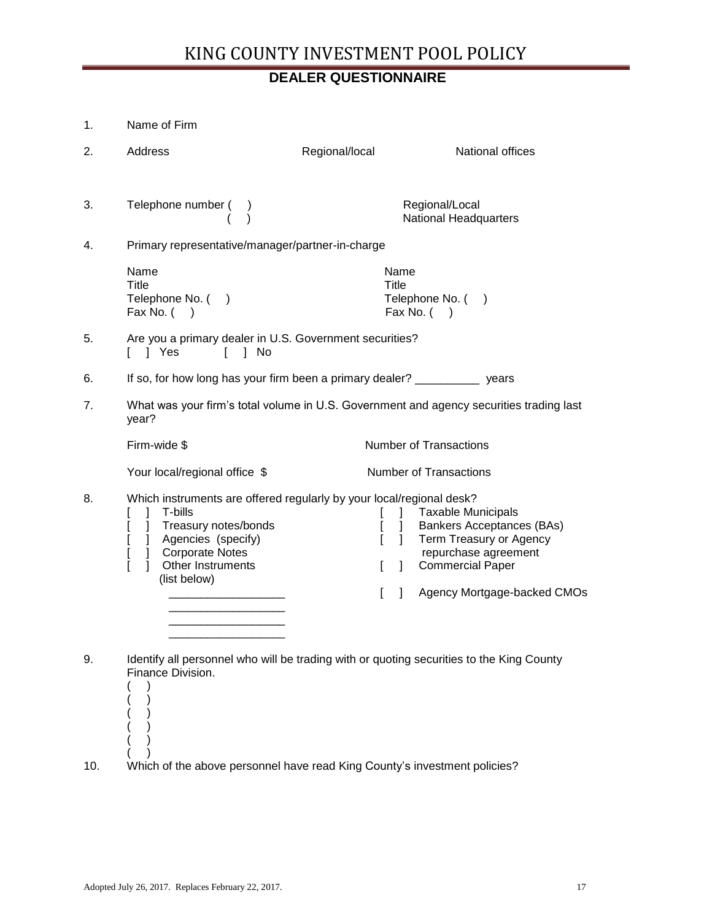# **DEALER QUESTIONNAIRE**

| 1.  | Name of Firm                                                                                                                                                                                                                  |                                                                              |                                                                                                                                                                            |
|-----|-------------------------------------------------------------------------------------------------------------------------------------------------------------------------------------------------------------------------------|------------------------------------------------------------------------------|----------------------------------------------------------------------------------------------------------------------------------------------------------------------------|
| 2.  | Address                                                                                                                                                                                                                       | Regional/local                                                               | National offices                                                                                                                                                           |
| 3.  | Telephone number (                                                                                                                                                                                                            |                                                                              | Regional/Local<br>National Headquarters                                                                                                                                    |
| 4.  | Primary representative/manager/partner-in-charge                                                                                                                                                                              |                                                                              |                                                                                                                                                                            |
|     | Name<br>Title<br>Telephone No. ()<br>Fax No. $( )$                                                                                                                                                                            | Name<br>Title                                                                | Telephone No. ()<br>Fax No. $($ )                                                                                                                                          |
| 5.  | Are you a primary dealer in U.S. Government securities?<br>1 Yes<br>$\mathbf{L}$<br>1 No                                                                                                                                      |                                                                              |                                                                                                                                                                            |
| 6.  | If so, for how long has your firm been a primary dealer? _____________ years                                                                                                                                                  |                                                                              |                                                                                                                                                                            |
| 7.  | year?                                                                                                                                                                                                                         |                                                                              | What was your firm's total volume in U.S. Government and agency securities trading last                                                                                    |
|     | Firm-wide \$                                                                                                                                                                                                                  |                                                                              | <b>Number of Transactions</b>                                                                                                                                              |
|     | Your local/regional office \$                                                                                                                                                                                                 |                                                                              | <b>Number of Transactions</b>                                                                                                                                              |
| 8.  | Which instruments are offered regularly by your local/regional desk?<br>T-bills<br>Treasury notes/bonds<br>L<br>1<br>] Agencies (specify)<br>L<br><b>Corporate Notes</b><br>$\mathbf{I}$<br>Other Instruments<br>(list below) | $\mathbf{1}$<br>$\mathbf{I}$<br>$\mathbf{I}$<br>$\mathbf{I}$<br>$\mathbf{I}$ | <b>Taxable Municipals</b><br><b>Bankers Acceptances (BAs)</b><br>Term Treasury or Agency<br>repurchase agreement<br><b>Commercial Paper</b><br>Agency Mortgage-backed CMOs |
| 9.  | Identify all personnel who will be trading with or quoting securities to the King County<br>Finance Division.                                                                                                                 |                                                                              |                                                                                                                                                                            |
| 10. | Which of the above personnel have read King County's investment policies?                                                                                                                                                     |                                                                              |                                                                                                                                                                            |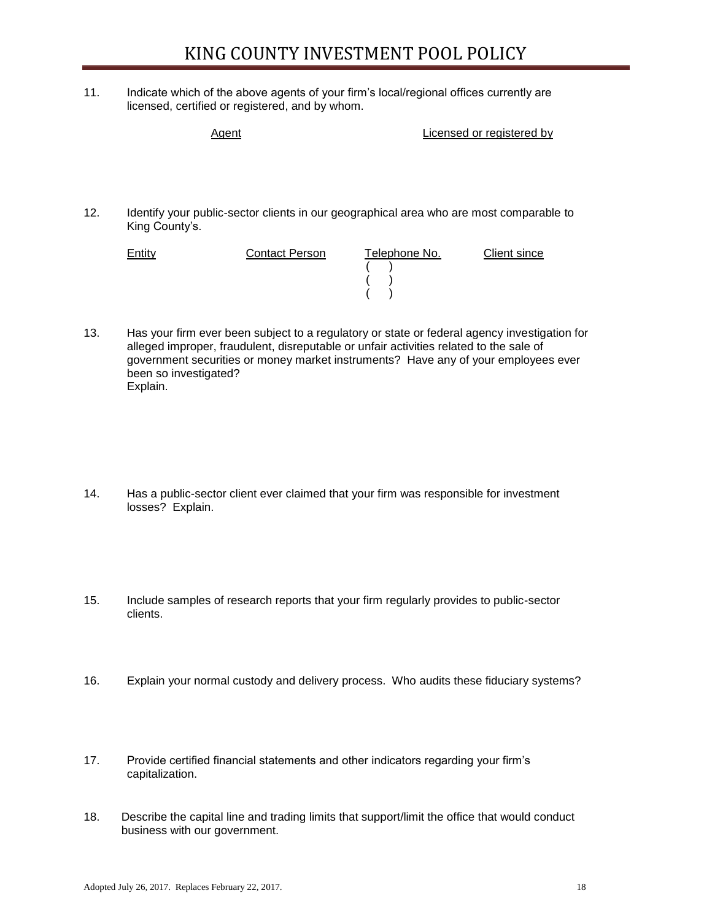11. Indicate which of the above agents of your firm's local/regional offices currently are licensed, certified or registered, and by whom.

Agent **Agent Licensed or registered by** 12. Identify your public-sector clients in our geographical area who are most comparable to King County's. **Entity Contact Person Telephone No.** Client since  $($  )

> $($   $)$ ( )

13. Has your firm ever been subject to a regulatory or state or federal agency investigation for alleged improper, fraudulent, disreputable or unfair activities related to the sale of government securities or money market instruments? Have any of your employees ever been so investigated? Explain.

- 14. Has a public-sector client ever claimed that your firm was responsible for investment losses? Explain.
- 15. Include samples of research reports that your firm regularly provides to public-sector clients.
- 16. Explain your normal custody and delivery process. Who audits these fiduciary systems?
- 17. Provide certified financial statements and other indicators regarding your firm's capitalization.
- 18. Describe the capital line and trading limits that support/limit the office that would conduct business with our government.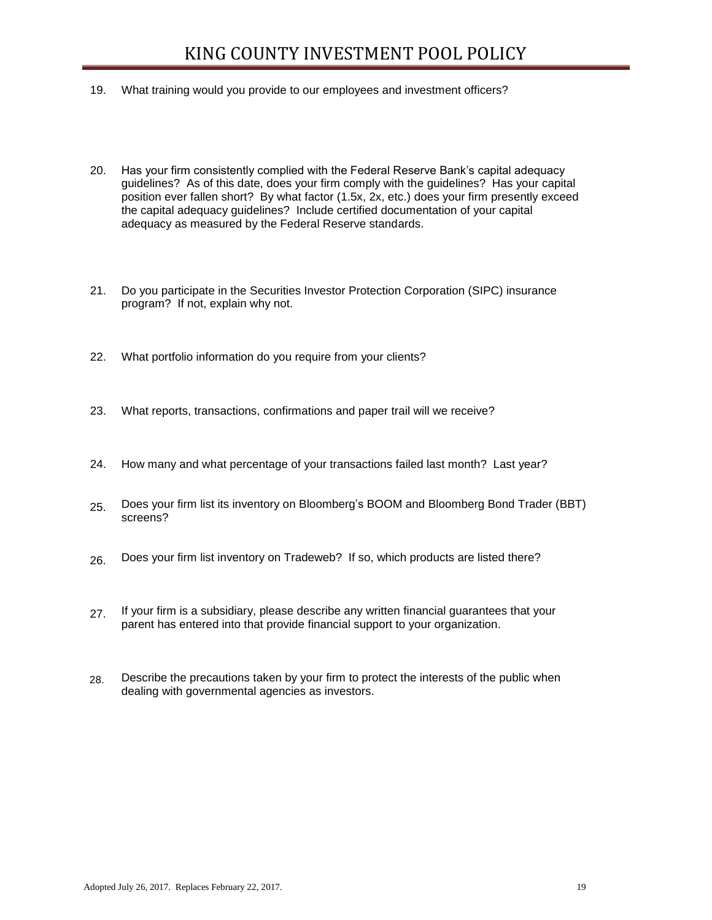- 19. What training would you provide to our employees and investment officers?
- 20. Has your firm consistently complied with the Federal Reserve Bank's capital adequacy guidelines? As of this date, does your firm comply with the guidelines? Has your capital position ever fallen short? By what factor (1.5x, 2x, etc.) does your firm presently exceed the capital adequacy guidelines? Include certified documentation of your capital adequacy as measured by the Federal Reserve standards.
- 21. Do you participate in the Securities Investor Protection Corporation (SIPC) insurance program? If not, explain why not.
- 22. What portfolio information do you require from your clients?
- 23. What reports, transactions, confirmations and paper trail will we receive?
- 24. How many and what percentage of your transactions failed last month? Last year?
- 25. Does your firm list its inventory on Bloomberg's BOOM and Bloomberg Bond Trader (BBT) Does your firm list its inventory on Bloomberg's BOOM and Bloomberg Bond Trader (BBT) screens? screens?
- 26. Does your firm list inventory on Tradeweb? If so, which products are listed there? Does your firm list inventory on Tradeweb? If so, which products are listed there?
- 27. If your firm is a subsidiary, please describe any written financial guarantees that your If your firm is a subsidiary, please describe any written financial guarantees that your parent has entered into that provide financial support to your organization. parent has entered into that provide financial support to your organization.
- 28. Describe the precautions taken by your firm to protect the interests of the public when dealing with governmental agencies as investors.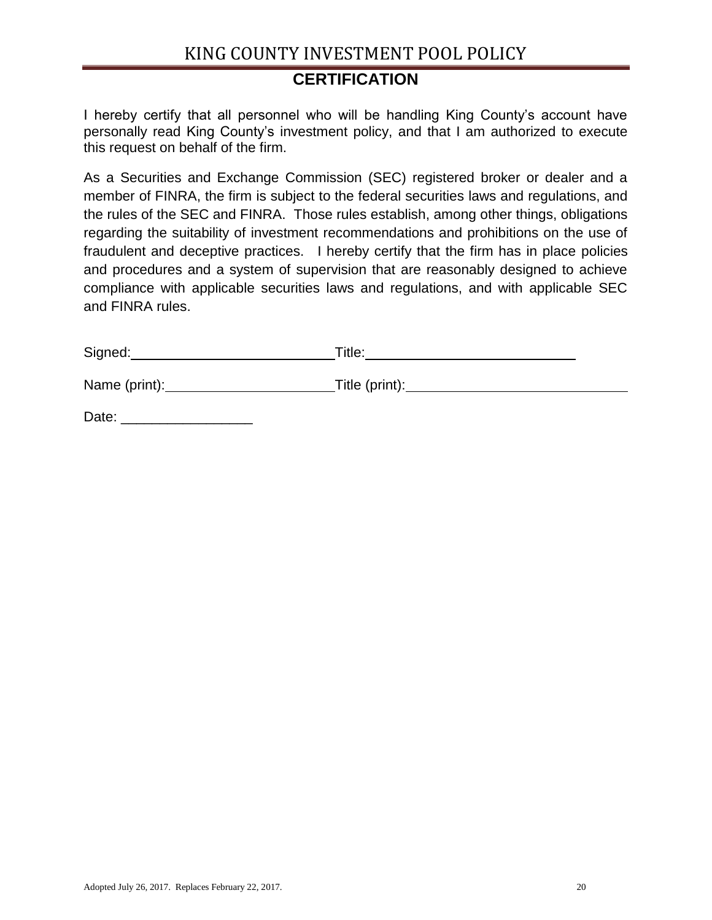# **CERTIFICATION**

I hereby certify that all personnel who will be handling King County's account have personally read King County's investment policy, and that I am authorized to execute this request on behalf of the firm.

As a Securities and Exchange Commission (SEC) registered broker or dealer and a member of FINRA, the firm is subject to the federal securities laws and regulations, and the rules of the SEC and FINRA. Those rules establish, among other things, obligations regarding the suitability of investment recommendations and prohibitions on the use of fraudulent and deceptive practices. I hereby certify that the firm has in place policies and procedures and a system of supervision that are reasonably designed to achieve compliance with applicable securities laws and regulations, and with applicable SEC and FINRA rules.

| Signed:       | Title:         |
|---------------|----------------|
| Name (print): | Title (print): |
| Date:         |                |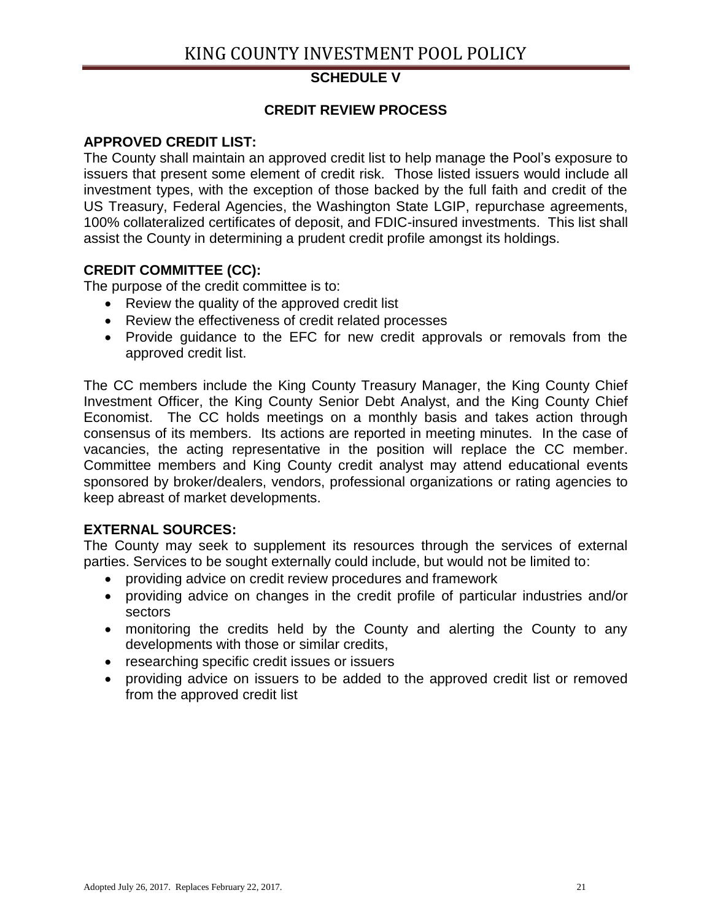# **SCHEDULE V**

# **CREDIT REVIEW PROCESS**

# **APPROVED CREDIT LIST:**

The County shall maintain an approved credit list to help manage the Pool's exposure to issuers that present some element of credit risk. Those listed issuers would include all investment types, with the exception of those backed by the full faith and credit of the US Treasury, Federal Agencies, the Washington State LGIP, repurchase agreements, 100% collateralized certificates of deposit, and FDIC-insured investments. This list shall assist the County in determining a prudent credit profile amongst its holdings.

# **CREDIT COMMITTEE (CC):**

The purpose of the credit committee is to:

- Review the quality of the approved credit list
- Review the effectiveness of credit related processes
- Provide guidance to the EFC for new credit approvals or removals from the approved credit list.

The CC members include the King County Treasury Manager, the King County Chief Investment Officer, the King County Senior Debt Analyst, and the King County Chief Economist. The CC holds meetings on a monthly basis and takes action through consensus of its members. Its actions are reported in meeting minutes. In the case of vacancies, the acting representative in the position will replace the CC member. Committee members and King County credit analyst may attend educational events sponsored by broker/dealers, vendors, professional organizations or rating agencies to keep abreast of market developments.

# **EXTERNAL SOURCES:**

The County may seek to supplement its resources through the services of external parties. Services to be sought externally could include, but would not be limited to:

- providing advice on credit review procedures and framework
- providing advice on changes in the credit profile of particular industries and/or sectors
- monitoring the credits held by the County and alerting the County to any developments with those or similar credits,
- researching specific credit issues or issuers
- providing advice on issuers to be added to the approved credit list or removed from the approved credit list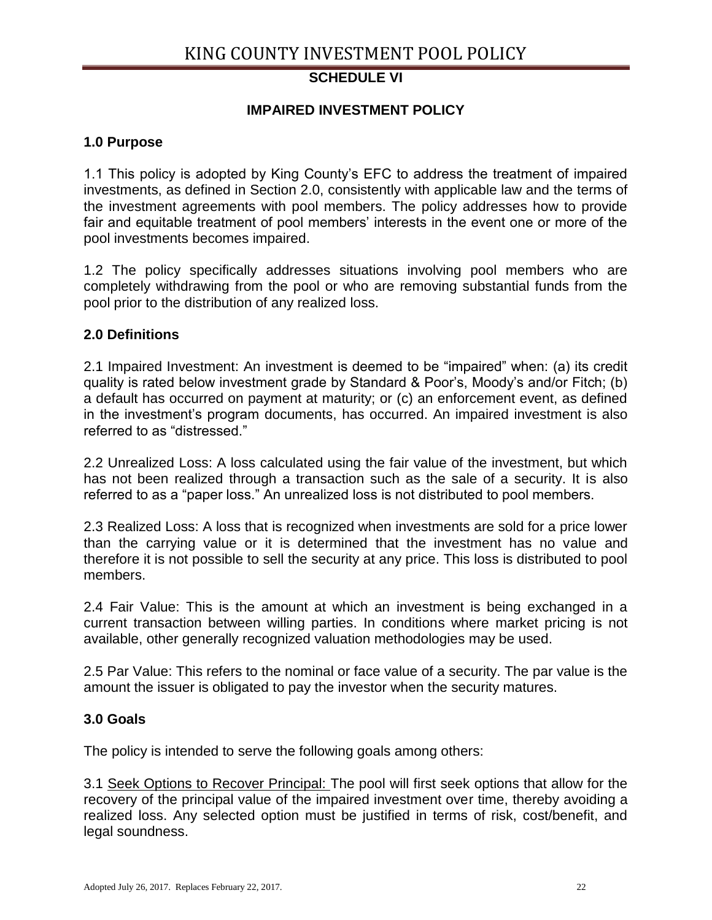# **SCHEDULE VI**

# **IMPAIRED INVESTMENT POLICY**

#### **1.0 Purpose**

1.1 This policy is adopted by King County's EFC to address the treatment of impaired investments, as defined in Section 2.0, consistently with applicable law and the terms of the investment agreements with pool members. The policy addresses how to provide fair and equitable treatment of pool members' interests in the event one or more of the pool investments becomes impaired.

1.2 The policy specifically addresses situations involving pool members who are completely withdrawing from the pool or who are removing substantial funds from the pool prior to the distribution of any realized loss.

#### **2.0 Definitions**

2.1 Impaired Investment: An investment is deemed to be "impaired" when: (a) its credit quality is rated below investment grade by Standard & Poor's, Moody's and/or Fitch; (b) a default has occurred on payment at maturity; or (c) an enforcement event, as defined in the investment's program documents, has occurred. An impaired investment is also referred to as "distressed."

2.2 Unrealized Loss: A loss calculated using the fair value of the investment, but which has not been realized through a transaction such as the sale of a security. It is also referred to as a "paper loss." An unrealized loss is not distributed to pool members.

2.3 Realized Loss: A loss that is recognized when investments are sold for a price lower than the carrying value or it is determined that the investment has no value and therefore it is not possible to sell the security at any price. This loss is distributed to pool members.

2.4 Fair Value: This is the amount at which an investment is being exchanged in a current transaction between willing parties. In conditions where market pricing is not available, other generally recognized valuation methodologies may be used.

2.5 Par Value: This refers to the nominal or face value of a security. The par value is the amount the issuer is obligated to pay the investor when the security matures.

#### **3.0 Goals**

The policy is intended to serve the following goals among others:

3.1 Seek Options to Recover Principal: The pool will first seek options that allow for the recovery of the principal value of the impaired investment over time, thereby avoiding a realized loss. Any selected option must be justified in terms of risk, cost/benefit, and legal soundness.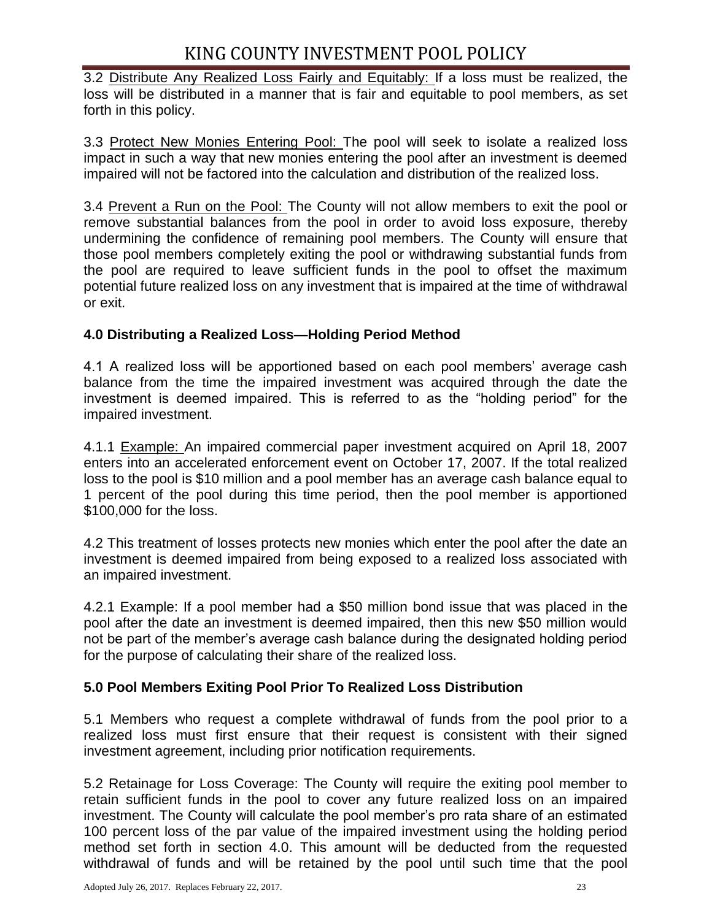3.2 Distribute Any Realized Loss Fairly and Equitably: If a loss must be realized, the loss will be distributed in a manner that is fair and equitable to pool members, as set forth in this policy.

3.3 Protect New Monies Entering Pool: The pool will seek to isolate a realized loss impact in such a way that new monies entering the pool after an investment is deemed impaired will not be factored into the calculation and distribution of the realized loss.

3.4 Prevent a Run on the Pool: The County will not allow members to exit the pool or remove substantial balances from the pool in order to avoid loss exposure, thereby undermining the confidence of remaining pool members. The County will ensure that those pool members completely exiting the pool or withdrawing substantial funds from the pool are required to leave sufficient funds in the pool to offset the maximum potential future realized loss on any investment that is impaired at the time of withdrawal or exit.

# **4.0 Distributing a Realized Loss—Holding Period Method**

4.1 A realized loss will be apportioned based on each pool members' average cash balance from the time the impaired investment was acquired through the date the investment is deemed impaired. This is referred to as the "holding period" for the impaired investment.

4.1.1 Example: An impaired commercial paper investment acquired on April 18, 2007 enters into an accelerated enforcement event on October 17, 2007. If the total realized loss to the pool is \$10 million and a pool member has an average cash balance equal to 1 percent of the pool during this time period, then the pool member is apportioned \$100,000 for the loss.

4.2 This treatment of losses protects new monies which enter the pool after the date an investment is deemed impaired from being exposed to a realized loss associated with an impaired investment.

4.2.1 Example: If a pool member had a \$50 million bond issue that was placed in the pool after the date an investment is deemed impaired, then this new \$50 million would not be part of the member's average cash balance during the designated holding period for the purpose of calculating their share of the realized loss.

# **5.0 Pool Members Exiting Pool Prior To Realized Loss Distribution**

5.1 Members who request a complete withdrawal of funds from the pool prior to a realized loss must first ensure that their request is consistent with their signed investment agreement, including prior notification requirements.

5.2 Retainage for Loss Coverage: The County will require the exiting pool member to retain sufficient funds in the pool to cover any future realized loss on an impaired investment. The County will calculate the pool member's pro rata share of an estimated 100 percent loss of the par value of the impaired investment using the holding period method set forth in section 4.0. This amount will be deducted from the requested withdrawal of funds and will be retained by the pool until such time that the pool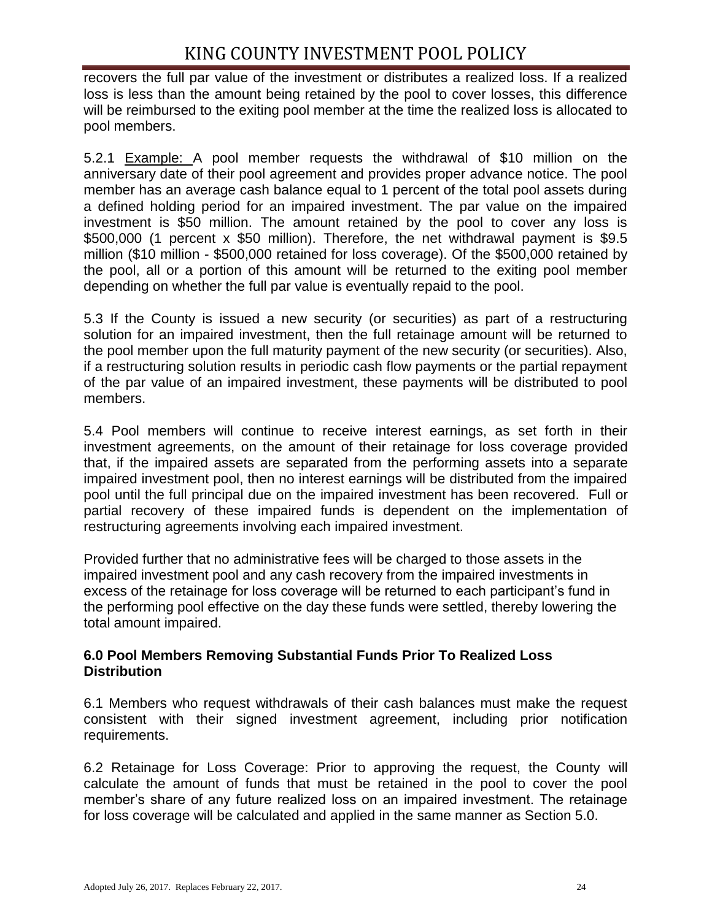recovers the full par value of the investment or distributes a realized loss. If a realized loss is less than the amount being retained by the pool to cover losses, this difference will be reimbursed to the exiting pool member at the time the realized loss is allocated to pool members.

5.2.1 Example: A pool member requests the withdrawal of \$10 million on the anniversary date of their pool agreement and provides proper advance notice. The pool member has an average cash balance equal to 1 percent of the total pool assets during a defined holding period for an impaired investment. The par value on the impaired investment is \$50 million. The amount retained by the pool to cover any loss is \$500,000 (1 percent x \$50 million). Therefore, the net withdrawal payment is \$9.5 million (\$10 million - \$500,000 retained for loss coverage). Of the \$500,000 retained by the pool, all or a portion of this amount will be returned to the exiting pool member depending on whether the full par value is eventually repaid to the pool.

5.3 If the County is issued a new security (or securities) as part of a restructuring solution for an impaired investment, then the full retainage amount will be returned to the pool member upon the full maturity payment of the new security (or securities). Also, if a restructuring solution results in periodic cash flow payments or the partial repayment of the par value of an impaired investment, these payments will be distributed to pool members.

5.4 Pool members will continue to receive interest earnings, as set forth in their investment agreements, on the amount of their retainage for loss coverage provided that, if the impaired assets are separated from the performing assets into a separate impaired investment pool, then no interest earnings will be distributed from the impaired pool until the full principal due on the impaired investment has been recovered. Full or partial recovery of these impaired funds is dependent on the implementation of restructuring agreements involving each impaired investment.

Provided further that no administrative fees will be charged to those assets in the impaired investment pool and any cash recovery from the impaired investments in excess of the retainage for loss coverage will be returned to each participant's fund in the performing pool effective on the day these funds were settled, thereby lowering the total amount impaired.

## **6.0 Pool Members Removing Substantial Funds Prior To Realized Loss Distribution**

6.1 Members who request withdrawals of their cash balances must make the request consistent with their signed investment agreement, including prior notification requirements.

6.2 Retainage for Loss Coverage: Prior to approving the request, the County will calculate the amount of funds that must be retained in the pool to cover the pool member's share of any future realized loss on an impaired investment. The retainage for loss coverage will be calculated and applied in the same manner as Section 5.0.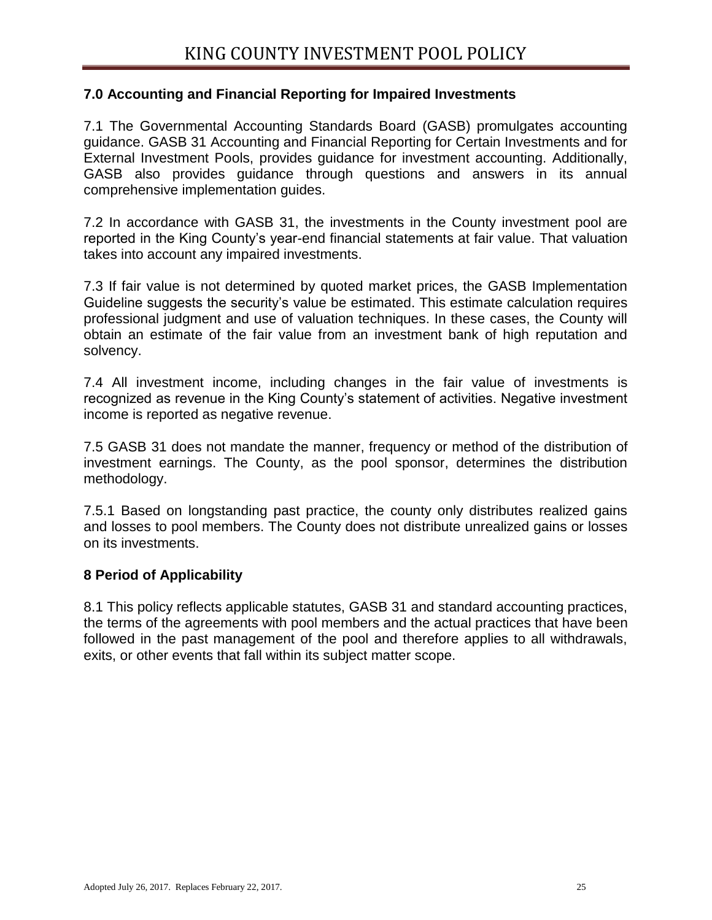## **7.0 Accounting and Financial Reporting for Impaired Investments**

7.1 The Governmental Accounting Standards Board (GASB) promulgates accounting guidance. GASB 31 Accounting and Financial Reporting for Certain Investments and for External Investment Pools, provides guidance for investment accounting. Additionally, GASB also provides guidance through questions and answers in its annual comprehensive implementation guides.

7.2 In accordance with GASB 31, the investments in the County investment pool are reported in the King County's year-end financial statements at fair value. That valuation takes into account any impaired investments.

7.3 If fair value is not determined by quoted market prices, the GASB Implementation Guideline suggests the security's value be estimated. This estimate calculation requires professional judgment and use of valuation techniques. In these cases, the County will obtain an estimate of the fair value from an investment bank of high reputation and solvency.

7.4 All investment income, including changes in the fair value of investments is recognized as revenue in the King County's statement of activities. Negative investment income is reported as negative revenue.

7.5 GASB 31 does not mandate the manner, frequency or method of the distribution of investment earnings. The County, as the pool sponsor, determines the distribution methodology.

7.5.1 Based on longstanding past practice, the county only distributes realized gains and losses to pool members. The County does not distribute unrealized gains or losses on its investments.

## **8 Period of Applicability**

8.1 This policy reflects applicable statutes, GASB 31 and standard accounting practices, the terms of the agreements with pool members and the actual practices that have been followed in the past management of the pool and therefore applies to all withdrawals, exits, or other events that fall within its subject matter scope.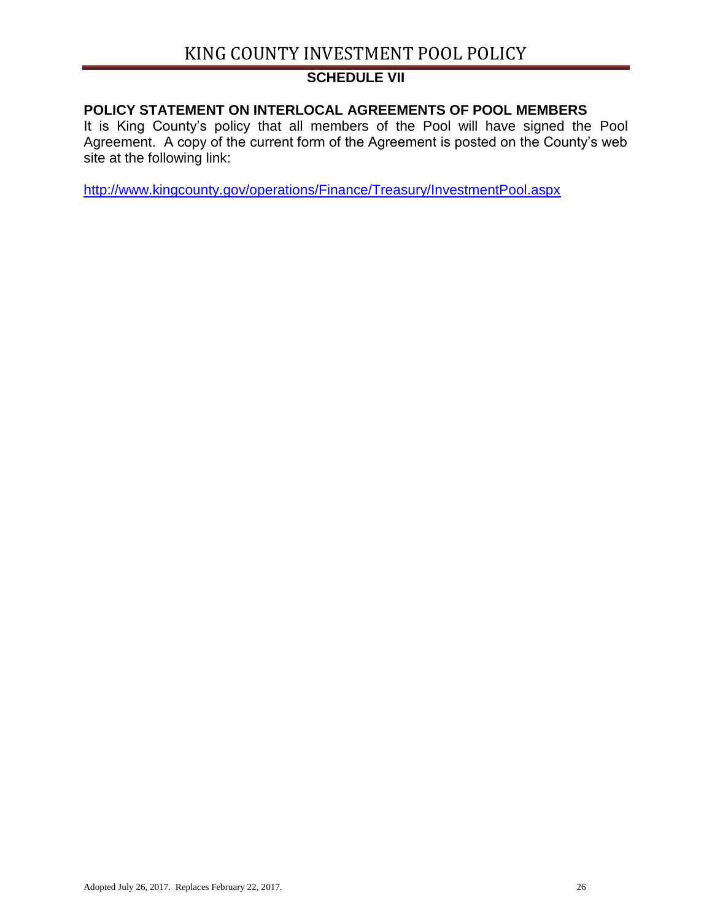# **SCHEDULE VII**

# **POLICY STATEMENT ON INTERLOCAL AGREEMENTS OF POOL MEMBERS**

It is King County's policy that all members of the Pool will have signed the Pool Agreement. A copy of the current form of the Agreement is posted on the County's web site at the following link:

<http://www.kingcounty.gov/operations/Finance/Treasury/InvestmentPool.aspx>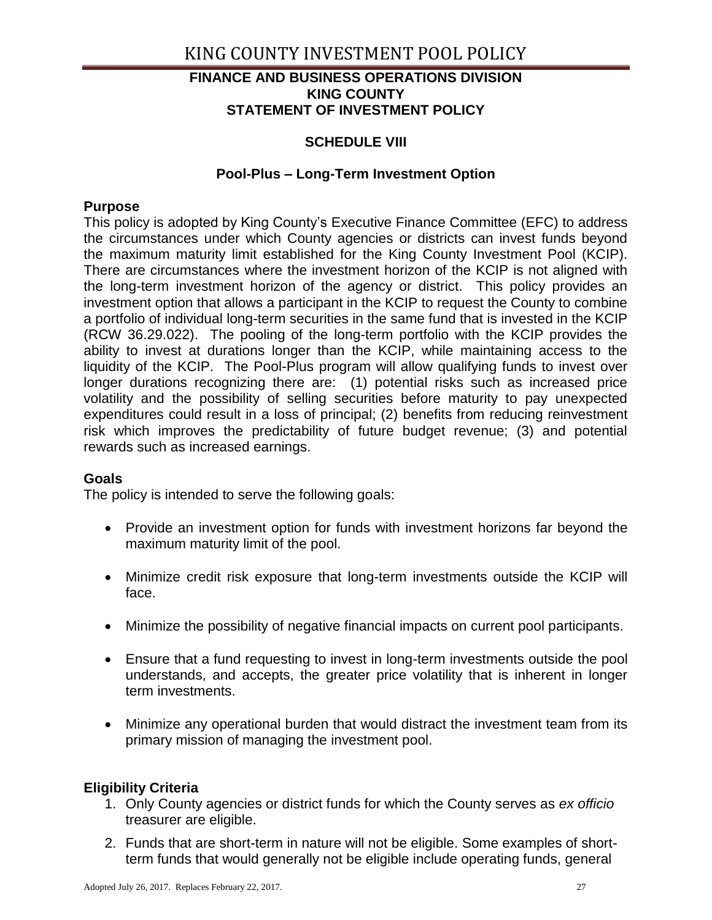#### **FINANCE AND BUSINESS OPERATIONS DIVISION KING COUNTY STATEMENT OF INVESTMENT POLICY**

# **SCHEDULE VIII**

#### **Pool-Plus – Long-Term Investment Option**

#### **Purpose**

This policy is adopted by King County's Executive Finance Committee (EFC) to address the circumstances under which County agencies or districts can invest funds beyond the maximum maturity limit established for the King County Investment Pool (KCIP). There are circumstances where the investment horizon of the KCIP is not aligned with the long-term investment horizon of the agency or district. This policy provides an investment option that allows a participant in the KCIP to request the County to combine a portfolio of individual long-term securities in the same fund that is invested in the KCIP (RCW 36.29.022). The pooling of the long-term portfolio with the KCIP provides the ability to invest at durations longer than the KCIP, while maintaining access to the liquidity of the KCIP. The Pool-Plus program will allow qualifying funds to invest over longer durations recognizing there are: (1) potential risks such as increased price volatility and the possibility of selling securities before maturity to pay unexpected expenditures could result in a loss of principal; (2) benefits from reducing reinvestment risk which improves the predictability of future budget revenue; (3) and potential rewards such as increased earnings.

## **Goals**

The policy is intended to serve the following goals:

- Provide an investment option for funds with investment horizons far beyond the maximum maturity limit of the pool.
- Minimize credit risk exposure that long-term investments outside the KCIP will face.
- Minimize the possibility of negative financial impacts on current pool participants.
- Ensure that a fund requesting to invest in long-term investments outside the pool understands, and accepts, the greater price volatility that is inherent in longer term investments.
- Minimize any operational burden that would distract the investment team from its primary mission of managing the investment pool.

## **Eligibility Criteria**

- 1. Only County agencies or district funds for which the County serves as *ex officio* treasurer are eligible.
- 2. Funds that are short-term in nature will not be eligible. Some examples of shortterm funds that would generally not be eligible include operating funds, general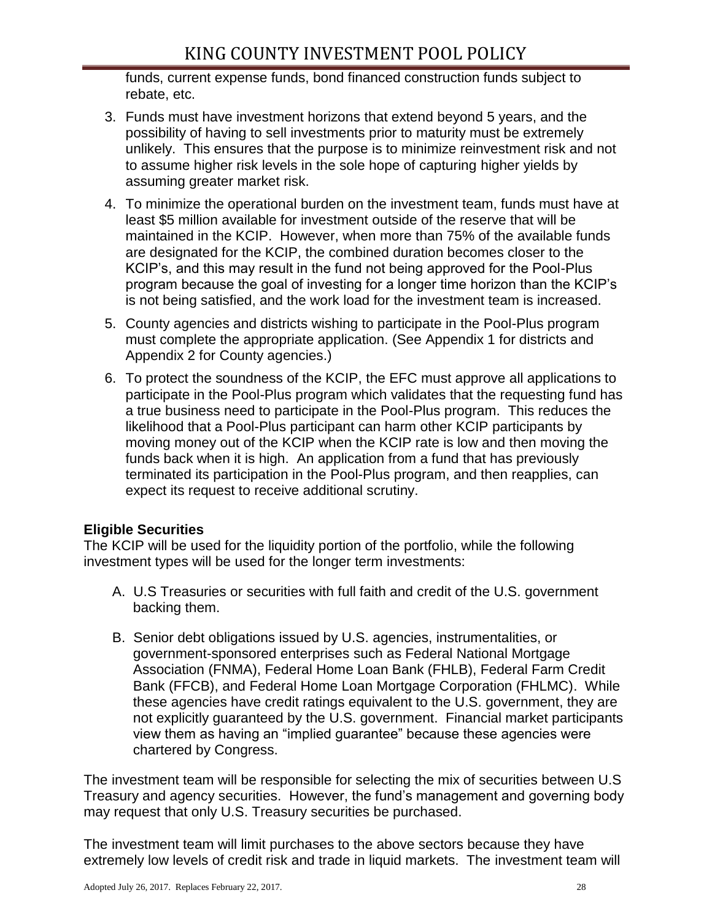funds, current expense funds, bond financed construction funds subject to rebate, etc.

- 3. Funds must have investment horizons that extend beyond 5 years, and the possibility of having to sell investments prior to maturity must be extremely unlikely. This ensures that the purpose is to minimize reinvestment risk and not to assume higher risk levels in the sole hope of capturing higher yields by assuming greater market risk.
- 4. To minimize the operational burden on the investment team, funds must have at least \$5 million available for investment outside of the reserve that will be maintained in the KCIP. However, when more than 75% of the available funds are designated for the KCIP, the combined duration becomes closer to the KCIP's, and this may result in the fund not being approved for the Pool-Plus program because the goal of investing for a longer time horizon than the KCIP's is not being satisfied, and the work load for the investment team is increased.
- 5. County agencies and districts wishing to participate in the Pool-Plus program must complete the appropriate application. (See Appendix 1 for districts and Appendix 2 for County agencies.)
- 6. To protect the soundness of the KCIP, the EFC must approve all applications to participate in the Pool-Plus program which validates that the requesting fund has a true business need to participate in the Pool-Plus program. This reduces the likelihood that a Pool-Plus participant can harm other KCIP participants by moving money out of the KCIP when the KCIP rate is low and then moving the funds back when it is high. An application from a fund that has previously terminated its participation in the Pool-Plus program, and then reapplies, can expect its request to receive additional scrutiny.

## **Eligible Securities**

The KCIP will be used for the liquidity portion of the portfolio, while the following investment types will be used for the longer term investments:

- A. U.S Treasuries or securities with full faith and credit of the U.S. government backing them.
- B. Senior debt obligations issued by U.S. agencies, instrumentalities, or government-sponsored enterprises such as Federal National Mortgage Association (FNMA), Federal Home Loan Bank (FHLB), Federal Farm Credit Bank (FFCB), and Federal Home Loan Mortgage Corporation (FHLMC). While these agencies have credit ratings equivalent to the U.S. government, they are not explicitly guaranteed by the U.S. government. Financial market participants view them as having an "implied guarantee" because these agencies were chartered by Congress.

The investment team will be responsible for selecting the mix of securities between U.S Treasury and agency securities. However, the fund's management and governing body may request that only U.S. Treasury securities be purchased.

The investment team will limit purchases to the above sectors because they have extremely low levels of credit risk and trade in liquid markets. The investment team will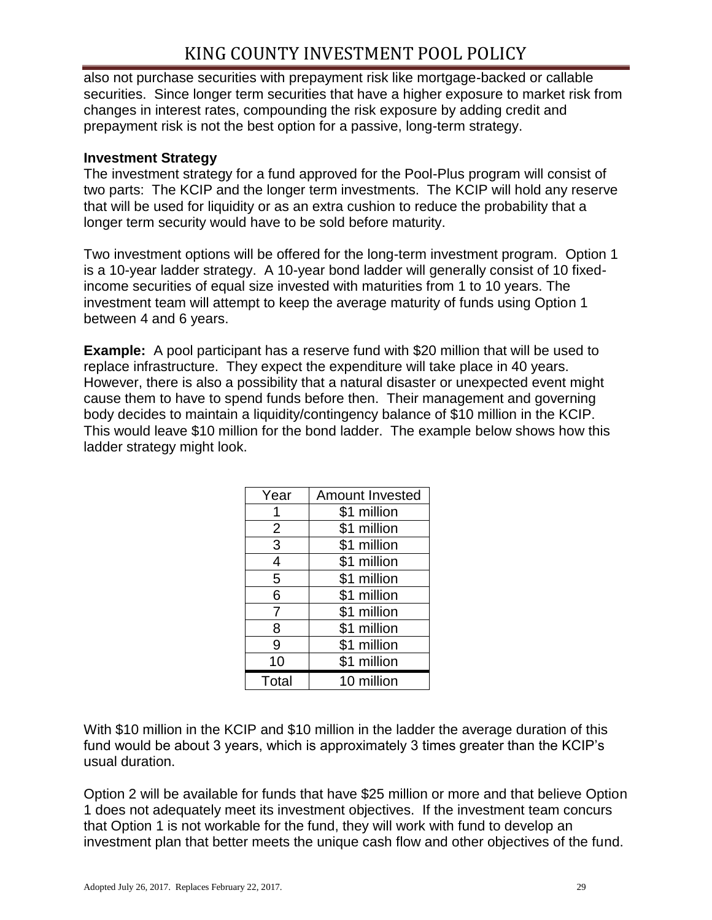also not purchase securities with prepayment risk like mortgage-backed or callable securities. Since longer term securities that have a higher exposure to market risk from changes in interest rates, compounding the risk exposure by adding credit and prepayment risk is not the best option for a passive, long-term strategy.

#### **Investment Strategy**

The investment strategy for a fund approved for the Pool-Plus program will consist of two parts: The KCIP and the longer term investments. The KCIP will hold any reserve that will be used for liquidity or as an extra cushion to reduce the probability that a longer term security would have to be sold before maturity.

Two investment options will be offered for the long-term investment program. Option 1 is a 10-year ladder strategy. A 10-year bond ladder will generally consist of 10 fixedincome securities of equal size invested with maturities from 1 to 10 years. The investment team will attempt to keep the average maturity of funds using Option 1 between 4 and 6 years.

**Example:** A pool participant has a reserve fund with \$20 million that will be used to replace infrastructure. They expect the expenditure will take place in 40 years. However, there is also a possibility that a natural disaster or unexpected event might cause them to have to spend funds before then. Their management and governing body decides to maintain a liquidity/contingency balance of \$10 million in the KCIP. This would leave \$10 million for the bond ladder. The example below shows how this ladder strategy might look.

| Year           | <b>Amount Invested</b> |  |  |
|----------------|------------------------|--|--|
|                | \$1 million            |  |  |
| 2              | \$1 million            |  |  |
| 3              | \$1 million            |  |  |
| 4              | \$1 million            |  |  |
| 5              | \$1 million            |  |  |
| 6              | \$1 million            |  |  |
| $\overline{7}$ | \$1 million            |  |  |
| 8              | \$1 million            |  |  |
| 9              | \$1 million            |  |  |
| 10             | \$1 million            |  |  |
| Total          | 10 million             |  |  |

With \$10 million in the KCIP and \$10 million in the ladder the average duration of this fund would be about 3 years, which is approximately 3 times greater than the KCIP's usual duration.

Option 2 will be available for funds that have \$25 million or more and that believe Option 1 does not adequately meet its investment objectives. If the investment team concurs that Option 1 is not workable for the fund, they will work with fund to develop an investment plan that better meets the unique cash flow and other objectives of the fund.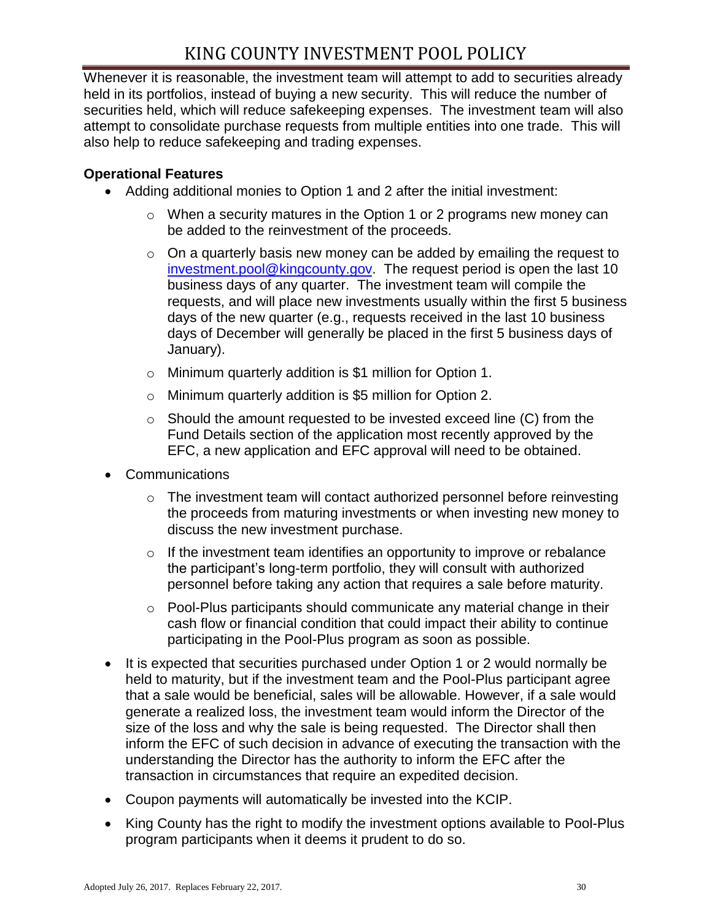Whenever it is reasonable, the investment team will attempt to add to securities already held in its portfolios, instead of buying a new security. This will reduce the number of securities held, which will reduce safekeeping expenses. The investment team will also attempt to consolidate purchase requests from multiple entities into one trade. This will also help to reduce safekeeping and trading expenses.

#### **Operational Features**

- Adding additional monies to Option 1 and 2 after the initial investment:
	- o When a security matures in the Option 1 or 2 programs new money can be added to the reinvestment of the proceeds.
	- $\circ$  On a quarterly basis new money can be added by emailing the request to [investment.pool@kingcounty.gov.](mailto:investment.pool@kingcounty.gov) The request period is open the last 10 business days of any quarter. The investment team will compile the requests, and will place new investments usually within the first 5 business days of the new quarter (e.g., requests received in the last 10 business days of December will generally be placed in the first 5 business days of January).
	- o Minimum quarterly addition is \$1 million for Option 1.
	- o Minimum quarterly addition is \$5 million for Option 2.
	- $\circ$  Should the amount requested to be invested exceed line (C) from the Fund Details section of the application most recently approved by the EFC, a new application and EFC approval will need to be obtained.
- **Communications** 
	- o The investment team will contact authorized personnel before reinvesting the proceeds from maturing investments or when investing new money to discuss the new investment purchase.
	- $\circ$  If the investment team identifies an opportunity to improve or rebalance the participant's long-term portfolio, they will consult with authorized personnel before taking any action that requires a sale before maturity.
	- o Pool-Plus participants should communicate any material change in their cash flow or financial condition that could impact their ability to continue participating in the Pool-Plus program as soon as possible.
- It is expected that securities purchased under Option 1 or 2 would normally be held to maturity, but if the investment team and the Pool-Plus participant agree that a sale would be beneficial, sales will be allowable. However, if a sale would generate a realized loss, the investment team would inform the Director of the size of the loss and why the sale is being requested. The Director shall then inform the EFC of such decision in advance of executing the transaction with the understanding the Director has the authority to inform the EFC after the transaction in circumstances that require an expedited decision.
- Coupon payments will automatically be invested into the KCIP.
- King County has the right to modify the investment options available to Pool-Plus program participants when it deems it prudent to do so.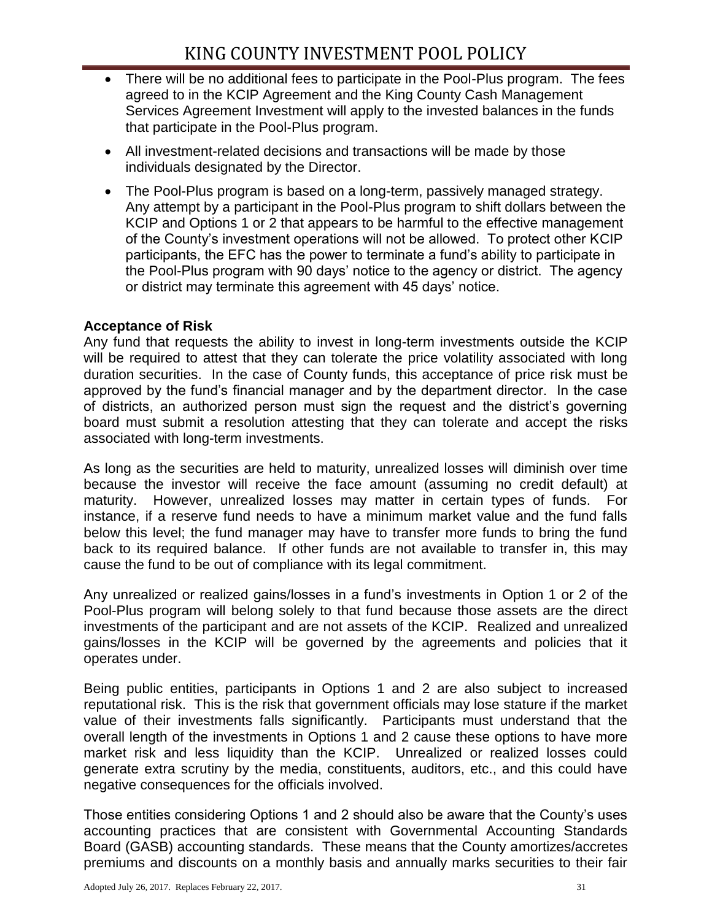- There will be no additional fees to participate in the Pool-Plus program. The fees agreed to in the KCIP Agreement and the King County Cash Management Services Agreement Investment will apply to the invested balances in the funds that participate in the Pool-Plus program.
- All investment-related decisions and transactions will be made by those individuals designated by the Director.
- The Pool-Plus program is based on a long-term, passively managed strategy. Any attempt by a participant in the Pool-Plus program to shift dollars between the KCIP and Options 1 or 2 that appears to be harmful to the effective management of the County's investment operations will not be allowed. To protect other KCIP participants, the EFC has the power to terminate a fund's ability to participate in the Pool-Plus program with 90 days' notice to the agency or district. The agency or district may terminate this agreement with 45 days' notice.

# **Acceptance of Risk**

Any fund that requests the ability to invest in long-term investments outside the KCIP will be required to attest that they can tolerate the price volatility associated with long duration securities. In the case of County funds, this acceptance of price risk must be approved by the fund's financial manager and by the department director. In the case of districts, an authorized person must sign the request and the district's governing board must submit a resolution attesting that they can tolerate and accept the risks associated with long-term investments.

As long as the securities are held to maturity, unrealized losses will diminish over time because the investor will receive the face amount (assuming no credit default) at maturity. However, unrealized losses may matter in certain types of funds. For instance, if a reserve fund needs to have a minimum market value and the fund falls below this level; the fund manager may have to transfer more funds to bring the fund back to its required balance. If other funds are not available to transfer in, this may cause the fund to be out of compliance with its legal commitment.

Any unrealized or realized gains/losses in a fund's investments in Option 1 or 2 of the Pool-Plus program will belong solely to that fund because those assets are the direct investments of the participant and are not assets of the KCIP. Realized and unrealized gains/losses in the KCIP will be governed by the agreements and policies that it operates under.

Being public entities, participants in Options 1 and 2 are also subject to increased reputational risk. This is the risk that government officials may lose stature if the market value of their investments falls significantly. Participants must understand that the overall length of the investments in Options 1 and 2 cause these options to have more market risk and less liquidity than the KCIP. Unrealized or realized losses could generate extra scrutiny by the media, constituents, auditors, etc., and this could have negative consequences for the officials involved.

Those entities considering Options 1 and 2 should also be aware that the County's uses accounting practices that are consistent with Governmental Accounting Standards Board (GASB) accounting standards. These means that the County amortizes/accretes premiums and discounts on a monthly basis and annually marks securities to their fair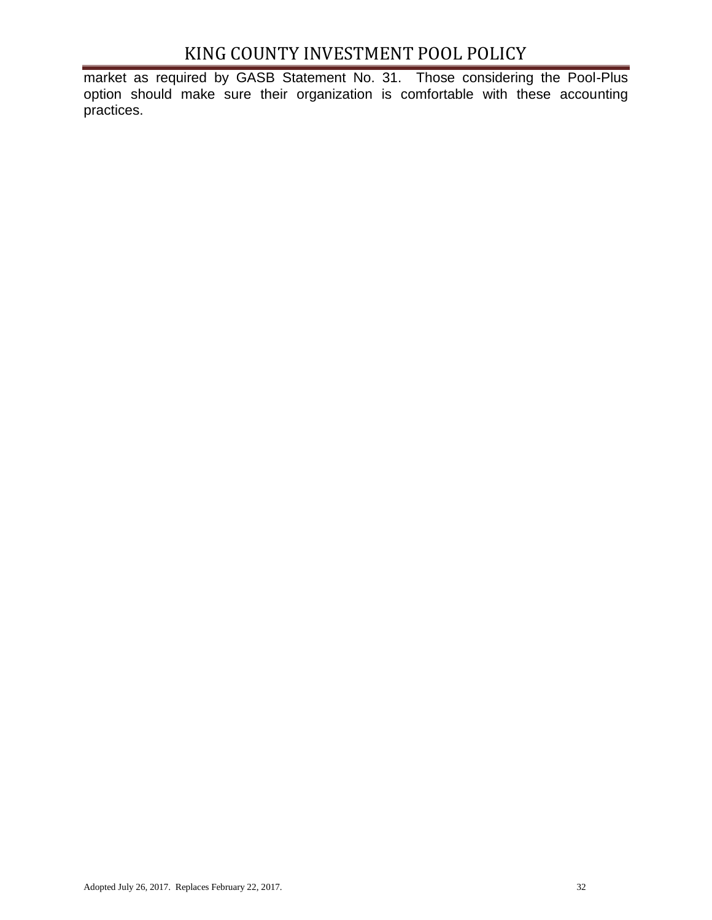market as required by GASB Statement No. 31. Those considering the Pool-Plus option should make sure their organization is comfortable with these accounting practices.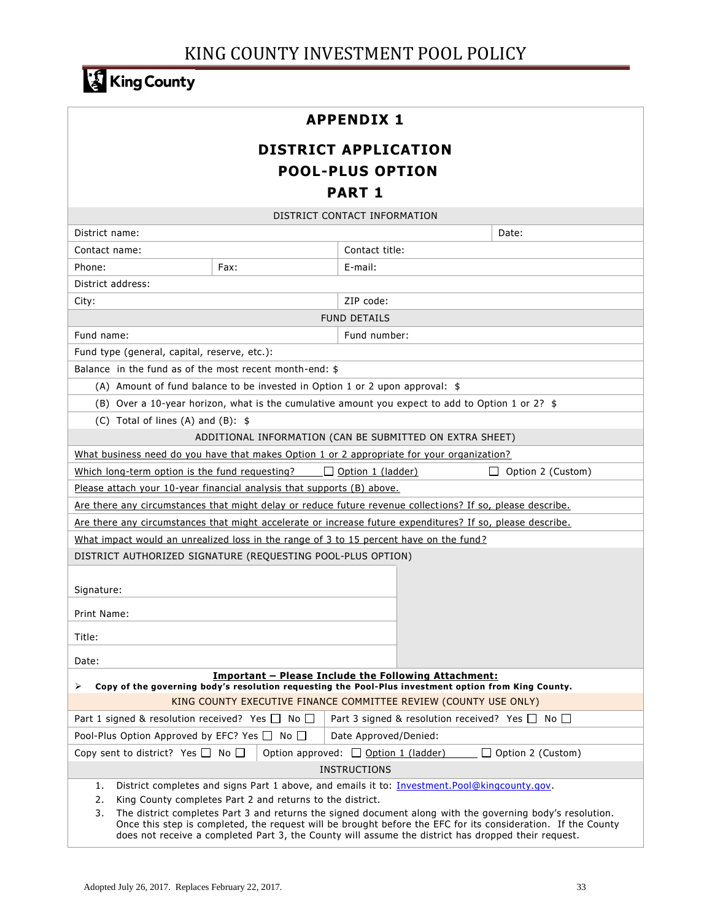# King County

## **APPENDIX 1**

# **DISTRICT APPLICATION POOL-PLUS OPTION PART 1**

| DISTRICT CONTACT INFORMATION                                                                                                                                                                                                                                                                                                           |      |                                                                                                            |                                                 |  |  |
|----------------------------------------------------------------------------------------------------------------------------------------------------------------------------------------------------------------------------------------------------------------------------------------------------------------------------------------|------|------------------------------------------------------------------------------------------------------------|-------------------------------------------------|--|--|
| District name:                                                                                                                                                                                                                                                                                                                         |      |                                                                                                            | Date:                                           |  |  |
| Contact name:                                                                                                                                                                                                                                                                                                                          |      | Contact title:                                                                                             |                                                 |  |  |
| Phone:                                                                                                                                                                                                                                                                                                                                 | Fax: | E-mail:                                                                                                    |                                                 |  |  |
| District address:                                                                                                                                                                                                                                                                                                                      |      |                                                                                                            |                                                 |  |  |
| City:                                                                                                                                                                                                                                                                                                                                  |      | ZIP code:                                                                                                  |                                                 |  |  |
|                                                                                                                                                                                                                                                                                                                                        |      | <b>FUND DETAILS</b>                                                                                        |                                                 |  |  |
| Fund name:                                                                                                                                                                                                                                                                                                                             |      | Fund number:                                                                                               |                                                 |  |  |
| Fund type (general, capital, reserve, etc.):                                                                                                                                                                                                                                                                                           |      |                                                                                                            |                                                 |  |  |
| Balance in the fund as of the most recent month-end: \$                                                                                                                                                                                                                                                                                |      |                                                                                                            |                                                 |  |  |
|                                                                                                                                                                                                                                                                                                                                        |      | (A) Amount of fund balance to be invested in Option 1 or 2 upon approval: $$$                              |                                                 |  |  |
|                                                                                                                                                                                                                                                                                                                                        |      | (B) Over a 10-year horizon, what is the cumulative amount you expect to add to Option 1 or 2? $$$          |                                                 |  |  |
| (C) Total of lines (A) and (B): $$$                                                                                                                                                                                                                                                                                                    |      |                                                                                                            |                                                 |  |  |
|                                                                                                                                                                                                                                                                                                                                        |      | ADDITIONAL INFORMATION (CAN BE SUBMITTED ON EXTRA SHEET)                                                   |                                                 |  |  |
|                                                                                                                                                                                                                                                                                                                                        |      | What business need do you have that makes Option 1 or 2 appropriate for your organization?                 |                                                 |  |  |
| Which long-term option is the fund requesting?                                                                                                                                                                                                                                                                                         |      | $\Box$ Option 1 (ladder)                                                                                   | $\perp$<br>Option 2 (Custom)                    |  |  |
| Please attach your 10-year financial analysis that supports (B) above.                                                                                                                                                                                                                                                                 |      |                                                                                                            |                                                 |  |  |
|                                                                                                                                                                                                                                                                                                                                        |      | Are there any circumstances that might delay or reduce future revenue collections? If so, please describe. |                                                 |  |  |
|                                                                                                                                                                                                                                                                                                                                        |      | Are there any circumstances that might accelerate or increase future expenditures? If so, please describe. |                                                 |  |  |
|                                                                                                                                                                                                                                                                                                                                        |      | What impact would an unrealized loss in the range of 3 to 15 percent have on the fund?                     |                                                 |  |  |
| DISTRICT AUTHORIZED SIGNATURE (REQUESTING POOL-PLUS OPTION)                                                                                                                                                                                                                                                                            |      |                                                                                                            |                                                 |  |  |
|                                                                                                                                                                                                                                                                                                                                        |      |                                                                                                            |                                                 |  |  |
| Signature:                                                                                                                                                                                                                                                                                                                             |      |                                                                                                            |                                                 |  |  |
| <b>Print Name:</b>                                                                                                                                                                                                                                                                                                                     |      |                                                                                                            |                                                 |  |  |
| Title:                                                                                                                                                                                                                                                                                                                                 |      |                                                                                                            |                                                 |  |  |
|                                                                                                                                                                                                                                                                                                                                        |      |                                                                                                            |                                                 |  |  |
| Date:                                                                                                                                                                                                                                                                                                                                  |      |                                                                                                            |                                                 |  |  |
| <b>Important - Please Include the Following Attachment:</b><br>Copy of the governing body's resolution requesting the Pool-Plus investment option from King County.<br>⋗                                                                                                                                                               |      |                                                                                                            |                                                 |  |  |
| KING COUNTY EXECUTIVE FINANCE COMMITTEE REVIEW (COUNTY USE ONLY)                                                                                                                                                                                                                                                                       |      |                                                                                                            |                                                 |  |  |
| Part 1 signed & resolution received? Yes $\Box$ No $\Box$                                                                                                                                                                                                                                                                              |      |                                                                                                            | Part 3 signed & resolution received? Yes □ No □ |  |  |
| Pool-Plus Option Approved by EFC? Yes $\Box$ No $\Box$<br>Date Approved/Denied:                                                                                                                                                                                                                                                        |      |                                                                                                            |                                                 |  |  |
| Copy sent to district? Yes $\Box$ No $\Box$<br>Option approved: $\Box$ Option 1 (ladder)<br>Option 2 (Custom)                                                                                                                                                                                                                          |      |                                                                                                            |                                                 |  |  |
| <b>INSTRUCTIONS</b>                                                                                                                                                                                                                                                                                                                    |      |                                                                                                            |                                                 |  |  |
| District completes and signs Part 1 above, and emails it to: Investment.Pool@kingcounty.gov.<br>1.                                                                                                                                                                                                                                     |      |                                                                                                            |                                                 |  |  |
| 2.<br>King County completes Part 2 and returns to the district.                                                                                                                                                                                                                                                                        |      |                                                                                                            |                                                 |  |  |
| 3.<br>The district completes Part 3 and returns the signed document along with the governing body's resolution.<br>Once this step is completed, the request will be brought before the EFC for its consideration. If the County<br>does not receive a completed Part 3, the County will assume the district has dropped their request. |      |                                                                                                            |                                                 |  |  |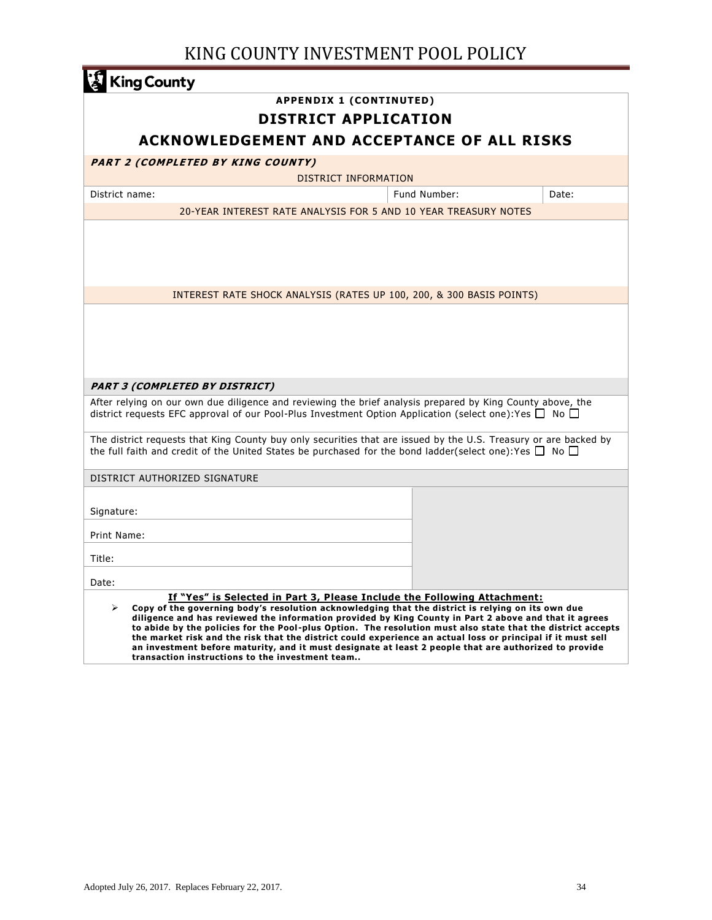| <b>King County</b>                                                                                                                                                                                                                                                                                                                                                                                                                                                                                                                                                                                                                                                                    |                                                                 |       |  |  |  |  |
|---------------------------------------------------------------------------------------------------------------------------------------------------------------------------------------------------------------------------------------------------------------------------------------------------------------------------------------------------------------------------------------------------------------------------------------------------------------------------------------------------------------------------------------------------------------------------------------------------------------------------------------------------------------------------------------|-----------------------------------------------------------------|-------|--|--|--|--|
| <b>APPENDIX 1 (CONTINUTED)</b>                                                                                                                                                                                                                                                                                                                                                                                                                                                                                                                                                                                                                                                        |                                                                 |       |  |  |  |  |
|                                                                                                                                                                                                                                                                                                                                                                                                                                                                                                                                                                                                                                                                                       | <b>DISTRICT APPLICATION</b>                                     |       |  |  |  |  |
| ACKNOWLEDGEMENT AND ACCEPTANCE OF ALL RISKS                                                                                                                                                                                                                                                                                                                                                                                                                                                                                                                                                                                                                                           |                                                                 |       |  |  |  |  |
| PART 2 (COMPLETED BY KING COUNTY)                                                                                                                                                                                                                                                                                                                                                                                                                                                                                                                                                                                                                                                     |                                                                 |       |  |  |  |  |
|                                                                                                                                                                                                                                                                                                                                                                                                                                                                                                                                                                                                                                                                                       | DISTRICT INFORMATION                                            |       |  |  |  |  |
| District name:                                                                                                                                                                                                                                                                                                                                                                                                                                                                                                                                                                                                                                                                        | Fund Number:                                                    | Date: |  |  |  |  |
|                                                                                                                                                                                                                                                                                                                                                                                                                                                                                                                                                                                                                                                                                       | 20-YEAR INTEREST RATE ANALYSIS FOR 5 AND 10 YEAR TREASURY NOTES |       |  |  |  |  |
|                                                                                                                                                                                                                                                                                                                                                                                                                                                                                                                                                                                                                                                                                       |                                                                 |       |  |  |  |  |
|                                                                                                                                                                                                                                                                                                                                                                                                                                                                                                                                                                                                                                                                                       |                                                                 |       |  |  |  |  |
|                                                                                                                                                                                                                                                                                                                                                                                                                                                                                                                                                                                                                                                                                       |                                                                 |       |  |  |  |  |
| INTEREST RATE SHOCK ANALYSIS (RATES UP 100, 200, & 300 BASIS POINTS)                                                                                                                                                                                                                                                                                                                                                                                                                                                                                                                                                                                                                  |                                                                 |       |  |  |  |  |
|                                                                                                                                                                                                                                                                                                                                                                                                                                                                                                                                                                                                                                                                                       |                                                                 |       |  |  |  |  |
|                                                                                                                                                                                                                                                                                                                                                                                                                                                                                                                                                                                                                                                                                       |                                                                 |       |  |  |  |  |
|                                                                                                                                                                                                                                                                                                                                                                                                                                                                                                                                                                                                                                                                                       |                                                                 |       |  |  |  |  |
|                                                                                                                                                                                                                                                                                                                                                                                                                                                                                                                                                                                                                                                                                       |                                                                 |       |  |  |  |  |
|                                                                                                                                                                                                                                                                                                                                                                                                                                                                                                                                                                                                                                                                                       |                                                                 |       |  |  |  |  |
| <b>PART 3 (COMPLETED BY DISTRICT)</b><br>After relying on our own due diligence and reviewing the brief analysis prepared by King County above, the                                                                                                                                                                                                                                                                                                                                                                                                                                                                                                                                   |                                                                 |       |  |  |  |  |
| district requests EFC approval of our Pool-Plus Investment Option Application (select one): Yes $\Box$ No $\Box$                                                                                                                                                                                                                                                                                                                                                                                                                                                                                                                                                                      |                                                                 |       |  |  |  |  |
| The district requests that King County buy only securities that are issued by the U.S. Treasury or are backed by<br>the full faith and credit of the United States be purchased for the bond ladder(select one):Yes $\Box$ No $\Box$                                                                                                                                                                                                                                                                                                                                                                                                                                                  |                                                                 |       |  |  |  |  |
| DISTRICT AUTHORIZED SIGNATURE                                                                                                                                                                                                                                                                                                                                                                                                                                                                                                                                                                                                                                                         |                                                                 |       |  |  |  |  |
|                                                                                                                                                                                                                                                                                                                                                                                                                                                                                                                                                                                                                                                                                       |                                                                 |       |  |  |  |  |
| Signature:                                                                                                                                                                                                                                                                                                                                                                                                                                                                                                                                                                                                                                                                            |                                                                 |       |  |  |  |  |
| Print Name:                                                                                                                                                                                                                                                                                                                                                                                                                                                                                                                                                                                                                                                                           |                                                                 |       |  |  |  |  |
| Title:                                                                                                                                                                                                                                                                                                                                                                                                                                                                                                                                                                                                                                                                                |                                                                 |       |  |  |  |  |
| Date:                                                                                                                                                                                                                                                                                                                                                                                                                                                                                                                                                                                                                                                                                 |                                                                 |       |  |  |  |  |
| If "Yes" is Selected in Part 3, Please Include the Following Attachment:<br>Copy of the governing body's resolution acknowledging that the district is relying on its own due<br>➤<br>diligence and has reviewed the information provided by King County in Part 2 above and that it agrees<br>to abide by the policies for the Pool-plus Option. The resolution must also state that the district accepts<br>the market risk and the risk that the district could experience an actual loss or principal if it must sell<br>an investment before maturity, and it must designate at least 2 people that are authorized to provide<br>transaction instructions to the investment team |                                                                 |       |  |  |  |  |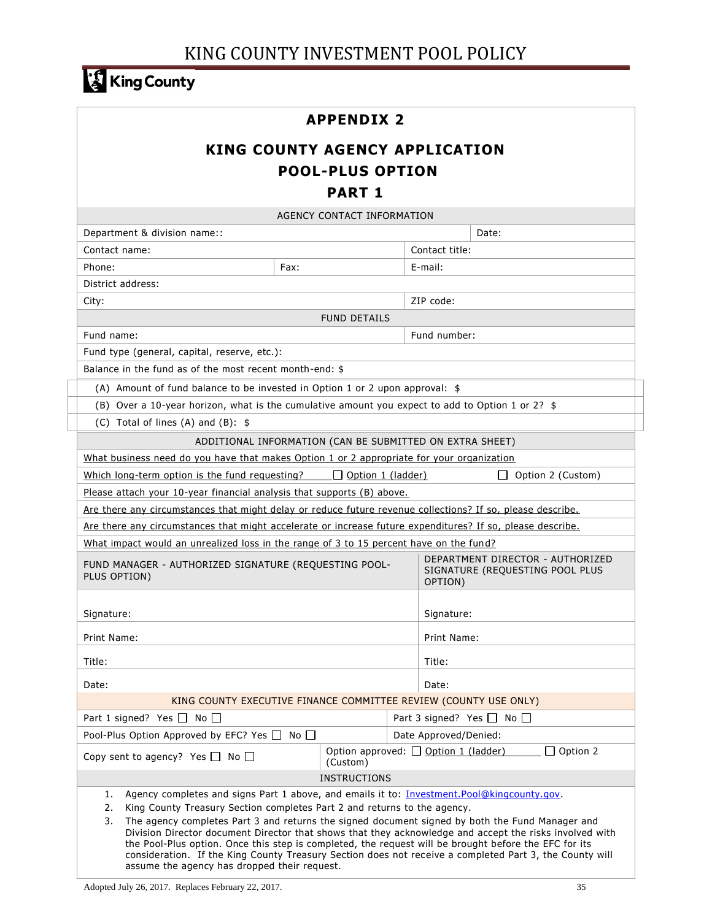# King County

## **APPENDIX 2**

# **KING COUNTY AGENCY APPLICATION POOL-PLUS OPTION PART 1**

| AGENCY CONTACT INFORMATION                                                                                                                                                                                                                                                                                                                                                                                                                                                                                                                                                                                                                                                 |                     |                          |                                                              |                   |  |
|----------------------------------------------------------------------------------------------------------------------------------------------------------------------------------------------------------------------------------------------------------------------------------------------------------------------------------------------------------------------------------------------------------------------------------------------------------------------------------------------------------------------------------------------------------------------------------------------------------------------------------------------------------------------------|---------------------|--------------------------|--------------------------------------------------------------|-------------------|--|
| Department & division name::                                                                                                                                                                                                                                                                                                                                                                                                                                                                                                                                                                                                                                               |                     |                          |                                                              | Date:             |  |
| Contact name:                                                                                                                                                                                                                                                                                                                                                                                                                                                                                                                                                                                                                                                              |                     |                          | Contact title:                                               |                   |  |
| Phone:                                                                                                                                                                                                                                                                                                                                                                                                                                                                                                                                                                                                                                                                     | Fax:                |                          | E-mail:                                                      |                   |  |
| District address:                                                                                                                                                                                                                                                                                                                                                                                                                                                                                                                                                                                                                                                          |                     |                          |                                                              |                   |  |
| City:                                                                                                                                                                                                                                                                                                                                                                                                                                                                                                                                                                                                                                                                      |                     |                          | ZIP code:                                                    |                   |  |
|                                                                                                                                                                                                                                                                                                                                                                                                                                                                                                                                                                                                                                                                            | <b>FUND DETAILS</b> |                          |                                                              |                   |  |
| Fund name:                                                                                                                                                                                                                                                                                                                                                                                                                                                                                                                                                                                                                                                                 |                     |                          | Fund number:                                                 |                   |  |
| Fund type (general, capital, reserve, etc.):                                                                                                                                                                                                                                                                                                                                                                                                                                                                                                                                                                                                                               |                     |                          |                                                              |                   |  |
| Balance in the fund as of the most recent month-end: \$                                                                                                                                                                                                                                                                                                                                                                                                                                                                                                                                                                                                                    |                     |                          |                                                              |                   |  |
| (A) Amount of fund balance to be invested in Option 1 or 2 upon approval: $$$                                                                                                                                                                                                                                                                                                                                                                                                                                                                                                                                                                                              |                     |                          |                                                              |                   |  |
| (B) Over a 10-year horizon, what is the cumulative amount you expect to add to Option 1 or 2? $$$                                                                                                                                                                                                                                                                                                                                                                                                                                                                                                                                                                          |                     |                          |                                                              |                   |  |
| (C) Total of lines (A) and (B): $$$                                                                                                                                                                                                                                                                                                                                                                                                                                                                                                                                                                                                                                        |                     |                          |                                                              |                   |  |
| ADDITIONAL INFORMATION (CAN BE SUBMITTED ON EXTRA SHEET)                                                                                                                                                                                                                                                                                                                                                                                                                                                                                                                                                                                                                   |                     |                          |                                                              |                   |  |
| What business need do you have that makes Option 1 or 2 appropriate for your organization                                                                                                                                                                                                                                                                                                                                                                                                                                                                                                                                                                                  |                     |                          |                                                              |                   |  |
| Which long-term option is the fund requesting?                                                                                                                                                                                                                                                                                                                                                                                                                                                                                                                                                                                                                             |                     | $\Box$ Option 1 (ladder) |                                                              | Option 2 (Custom) |  |
| Please attach your 10-year financial analysis that supports (B) above.                                                                                                                                                                                                                                                                                                                                                                                                                                                                                                                                                                                                     |                     |                          |                                                              |                   |  |
| Are there any circumstances that might delay or reduce future revenue collections? If so, please describe.                                                                                                                                                                                                                                                                                                                                                                                                                                                                                                                                                                 |                     |                          |                                                              |                   |  |
| Are there any circumstances that might accelerate or increase future expenditures? If so, please describe.                                                                                                                                                                                                                                                                                                                                                                                                                                                                                                                                                                 |                     |                          |                                                              |                   |  |
| What impact would an unrealized loss in the range of 3 to 15 percent have on the fund?                                                                                                                                                                                                                                                                                                                                                                                                                                                                                                                                                                                     |                     |                          |                                                              |                   |  |
| DEPARTMENT DIRECTOR - AUTHORIZED<br>FUND MANAGER - AUTHORIZED SIGNATURE (REQUESTING POOL-<br>SIGNATURE (REQUESTING POOL PLUS<br>PLUS OPTION)<br>OPTION)                                                                                                                                                                                                                                                                                                                                                                                                                                                                                                                    |                     |                          |                                                              |                   |  |
| Signature:<br>Signature:                                                                                                                                                                                                                                                                                                                                                                                                                                                                                                                                                                                                                                                   |                     |                          |                                                              |                   |  |
| Print Name:                                                                                                                                                                                                                                                                                                                                                                                                                                                                                                                                                                                                                                                                |                     |                          | <b>Print Name:</b>                                           |                   |  |
|                                                                                                                                                                                                                                                                                                                                                                                                                                                                                                                                                                                                                                                                            |                     |                          |                                                              |                   |  |
| Title:                                                                                                                                                                                                                                                                                                                                                                                                                                                                                                                                                                                                                                                                     |                     |                          | Title:                                                       |                   |  |
| Date:                                                                                                                                                                                                                                                                                                                                                                                                                                                                                                                                                                                                                                                                      |                     |                          | Date:                                                        |                   |  |
| KING COUNTY EXECUTIVE FINANCE COMMITTEE REVIEW (COUNTY USE ONLY)                                                                                                                                                                                                                                                                                                                                                                                                                                                                                                                                                                                                           |                     |                          |                                                              |                   |  |
| Part 1 signed? Yes $\Box$ No $\Box$                                                                                                                                                                                                                                                                                                                                                                                                                                                                                                                                                                                                                                        |                     |                          | Part 3 signed? Yes $\Box$ No $\Box$                          |                   |  |
| Pool-Plus Option Approved by EFC? Yes $\Box$ No $\Box$                                                                                                                                                                                                                                                                                                                                                                                                                                                                                                                                                                                                                     |                     |                          | Date Approved/Denied:                                        |                   |  |
| Copy sent to agency? Yes $\Box$ No $\Box$<br>(Custom)                                                                                                                                                                                                                                                                                                                                                                                                                                                                                                                                                                                                                      |                     |                          | Option approved: $\Box$ Option 1 (ladder)<br>$\Box$ Option 2 |                   |  |
| <b>INSTRUCTIONS</b>                                                                                                                                                                                                                                                                                                                                                                                                                                                                                                                                                                                                                                                        |                     |                          |                                                              |                   |  |
| Agency completes and signs Part 1 above, and emails it to: Investment.Pool@kingcounty.gov.<br>1.<br>2.<br>King County Treasury Section completes Part 2 and returns to the agency.<br>3.<br>The agency completes Part 3 and returns the signed document signed by both the Fund Manager and<br>Division Director document Director that shows that they acknowledge and accept the risks involved with<br>the Pool-Plus option. Once this step is completed, the request will be brought before the EFC for its<br>consideration. If the King County Treasury Section does not receive a completed Part 3, the County will<br>assume the agency has dropped their request. |                     |                          |                                                              |                   |  |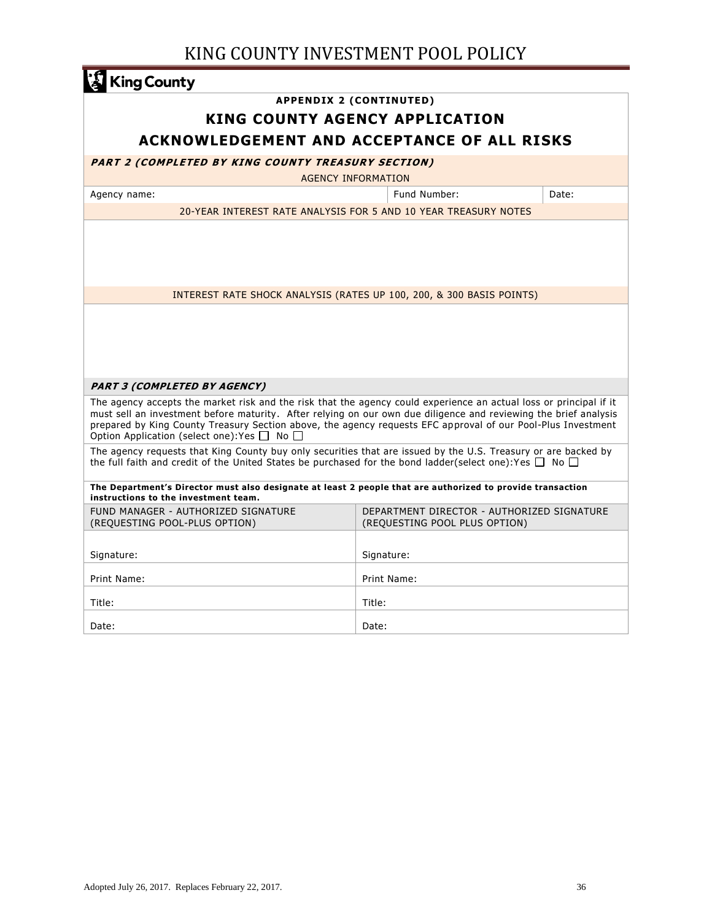| <b>King County</b>                                                                                                                                                                                                                                                                                                                                                                                              |                                                                                                                                                     |                                                                      |       |  |  |
|-----------------------------------------------------------------------------------------------------------------------------------------------------------------------------------------------------------------------------------------------------------------------------------------------------------------------------------------------------------------------------------------------------------------|-----------------------------------------------------------------------------------------------------------------------------------------------------|----------------------------------------------------------------------|-------|--|--|
|                                                                                                                                                                                                                                                                                                                                                                                                                 |                                                                                                                                                     | <b>APPENDIX 2 (CONTINUTED)</b>                                       |       |  |  |
|                                                                                                                                                                                                                                                                                                                                                                                                                 |                                                                                                                                                     | <b>KING COUNTY AGENCY APPLICATION</b>                                |       |  |  |
|                                                                                                                                                                                                                                                                                                                                                                                                                 |                                                                                                                                                     | <b>ACKNOWLEDGEMENT AND ACCEPTANCE OF ALL RISKS</b>                   |       |  |  |
| <b>PART 2 (COMPLETED BY KING COUNTY TREASURY SECTION)</b>                                                                                                                                                                                                                                                                                                                                                       |                                                                                                                                                     |                                                                      |       |  |  |
|                                                                                                                                                                                                                                                                                                                                                                                                                 |                                                                                                                                                     | <b>AGENCY INFORMATION</b>                                            |       |  |  |
| Agency name:                                                                                                                                                                                                                                                                                                                                                                                                    |                                                                                                                                                     | Fund Number:                                                         | Date: |  |  |
|                                                                                                                                                                                                                                                                                                                                                                                                                 |                                                                                                                                                     | 20-YEAR INTEREST RATE ANALYSIS FOR 5 AND 10 YEAR TREASURY NOTES      |       |  |  |
|                                                                                                                                                                                                                                                                                                                                                                                                                 |                                                                                                                                                     |                                                                      |       |  |  |
|                                                                                                                                                                                                                                                                                                                                                                                                                 |                                                                                                                                                     | INTEREST RATE SHOCK ANALYSIS (RATES UP 100, 200, & 300 BASIS POINTS) |       |  |  |
|                                                                                                                                                                                                                                                                                                                                                                                                                 |                                                                                                                                                     |                                                                      |       |  |  |
|                                                                                                                                                                                                                                                                                                                                                                                                                 |                                                                                                                                                     |                                                                      |       |  |  |
|                                                                                                                                                                                                                                                                                                                                                                                                                 |                                                                                                                                                     |                                                                      |       |  |  |
|                                                                                                                                                                                                                                                                                                                                                                                                                 |                                                                                                                                                     |                                                                      |       |  |  |
|                                                                                                                                                                                                                                                                                                                                                                                                                 |                                                                                                                                                     |                                                                      |       |  |  |
| <b>PART 3 (COMPLETED BY AGENCY)</b>                                                                                                                                                                                                                                                                                                                                                                             |                                                                                                                                                     |                                                                      |       |  |  |
| The agency accepts the market risk and the risk that the agency could experience an actual loss or principal if it<br>must sell an investment before maturity. After relying on our own due diligence and reviewing the brief analysis<br>prepared by King County Treasury Section above, the agency requests EFC approval of our Pool-Plus Investment<br>Option Application (select one): Yes $\Box$ No $\Box$ |                                                                                                                                                     |                                                                      |       |  |  |
| The agency requests that King County buy only securities that are issued by the U.S. Treasury or are backed by<br>the full faith and credit of the United States be purchased for the bond ladder(select one):Yes $\Box$ No $\Box$                                                                                                                                                                              |                                                                                                                                                     |                                                                      |       |  |  |
| The Department's Director must also designate at least 2 people that are authorized to provide transaction<br>instructions to the investment team.                                                                                                                                                                                                                                                              |                                                                                                                                                     |                                                                      |       |  |  |
|                                                                                                                                                                                                                                                                                                                                                                                                                 | FUND MANAGER - AUTHORIZED SIGNATURE<br>DEPARTMENT DIRECTOR - AUTHORIZED SIGNATURE<br>(REQUESTING POOL-PLUS OPTION)<br>(REQUESTING POOL PLUS OPTION) |                                                                      |       |  |  |
|                                                                                                                                                                                                                                                                                                                                                                                                                 |                                                                                                                                                     |                                                                      |       |  |  |
| Signature:                                                                                                                                                                                                                                                                                                                                                                                                      |                                                                                                                                                     | Signature:                                                           |       |  |  |
| Print Name:                                                                                                                                                                                                                                                                                                                                                                                                     |                                                                                                                                                     | Print Name:                                                          |       |  |  |
| Title:                                                                                                                                                                                                                                                                                                                                                                                                          |                                                                                                                                                     | Title:                                                               |       |  |  |
| Date:                                                                                                                                                                                                                                                                                                                                                                                                           |                                                                                                                                                     | Date:                                                                |       |  |  |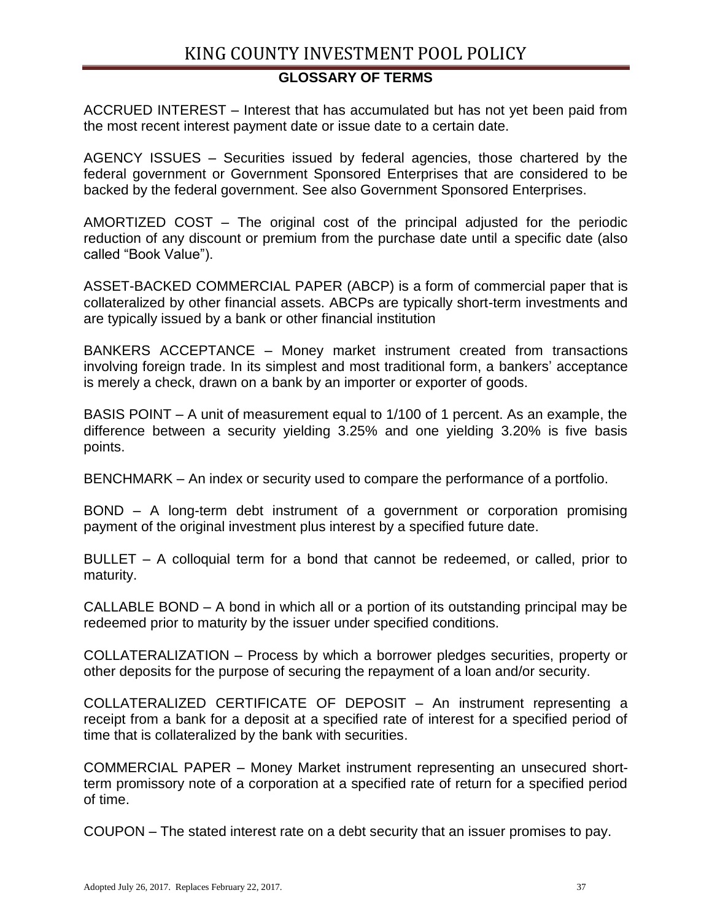# **GLOSSARY OF TERMS**

ACCRUED INTEREST – Interest that has accumulated but has not yet been paid from the most recent interest payment date or issue date to a certain date.

AGENCY ISSUES – Securities issued by federal agencies, those chartered by the federal government or Government Sponsored Enterprises that are considered to be backed by the federal government. See also Government Sponsored Enterprises.

AMORTIZED COST – The original cost of the principal adjusted for the periodic reduction of any discount or premium from the purchase date until a specific date (also called "Book Value").

ASSET-BACKED COMMERCIAL PAPER (ABCP) is a form of [commercial paper](http://en.wikipedia.org/wiki/Commercial_paper) that is [collateralized](http://en.wikipedia.org/wiki/Collateral_(finance)) by other financial assets. ABCPs are typically short-term investments and are typically issued by a bank or other financial institution

BANKERS ACCEPTANCE – Money market instrument created from transactions involving foreign trade. In its simplest and most traditional form, a bankers' acceptance is merely a check, drawn on a bank by an importer or exporter of goods.

BASIS POINT – A unit of measurement equal to 1/100 of 1 percent. As an example, the difference between a security yielding 3.25% and one yielding 3.20% is five basis points.

BENCHMARK – An index or security used to compare the performance of a portfolio.

BOND – A long-term debt instrument of a government or corporation promising payment of the original investment plus interest by a specified future date.

BULLET – A colloquial term for a bond that cannot be redeemed, or called, prior to maturity.

CALLABLE BOND – A bond in which all or a portion of its outstanding principal may be redeemed prior to maturity by the issuer under specified conditions.

COLLATERALIZATION – Process by which a borrower pledges securities, property or other deposits for the purpose of securing the repayment of a loan and/or security.

COLLATERALIZED CERTIFICATE OF DEPOSIT – An instrument representing a receipt from a bank for a deposit at a specified rate of interest for a specified period of time that is collateralized by the bank with securities.

COMMERCIAL PAPER – Money Market instrument representing an unsecured shortterm promissory note of a corporation at a specified rate of return for a specified period of time.

COUPON – The stated interest rate on a debt security that an issuer promises to pay.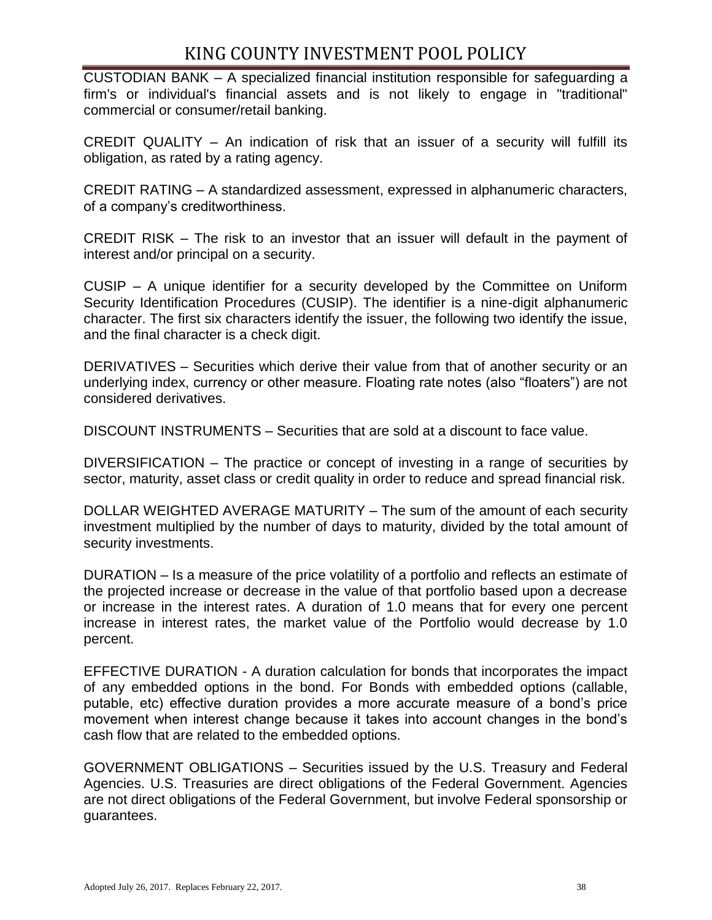CUSTODIAN BANK – A specialized [financial institution](http://en.wikipedia.org/wiki/Financial_institution) responsible for safeguarding a firm's or individual's financial assets and is not likely to engage in "traditional" commercial or consumer/retail banking.

CREDIT QUALITY – An indication of risk that an issuer of a security will fulfill its obligation, as rated by a rating agency.

CREDIT RATING – A standardized assessment, expressed in alphanumeric characters, of a company's creditworthiness.

CREDIT RISK – The risk to an investor that an issuer will default in the payment of interest and/or principal on a security.

CUSIP – A unique identifier for a security developed by the Committee on Uniform Security Identification Procedures (CUSIP). The identifier is a nine-digit alphanumeric character. The first six characters identify the issuer, the following two identify the issue, and the final character is a check digit.

DERIVATIVES – Securities which derive their value from that of another security or an underlying index, currency or other measure. Floating rate notes (also "floaters") are not considered derivatives.

DISCOUNT INSTRUMENTS – Securities that are sold at a discount to face value.

DIVERSIFICATION – The practice or concept of investing in a range of securities by sector, maturity, asset class or credit quality in order to reduce and spread financial risk.

DOLLAR WEIGHTED AVERAGE MATURITY – The sum of the amount of each security investment multiplied by the number of days to maturity, divided by the total amount of security investments.

DURATION – Is a measure of the price volatility of a portfolio and reflects an estimate of the projected increase or decrease in the value of that portfolio based upon a decrease or increase in the interest rates. A duration of 1.0 means that for every one percent increase in interest rates, the market value of the Portfolio would decrease by 1.0 percent.

EFFECTIVE DURATION - A duration calculation for bonds that incorporates the impact of any embedded options in the bond. For Bonds with embedded options (callable, putable, etc) effective duration provides a more accurate measure of a bond's price movement when interest change because it takes into account changes in the bond's cash flow that are related to the embedded options.

GOVERNMENT OBLIGATIONS – Securities issued by the U.S. Treasury and Federal Agencies. U.S. Treasuries are direct obligations of the Federal Government. Agencies are not direct obligations of the Federal Government, but involve Federal sponsorship or guarantees.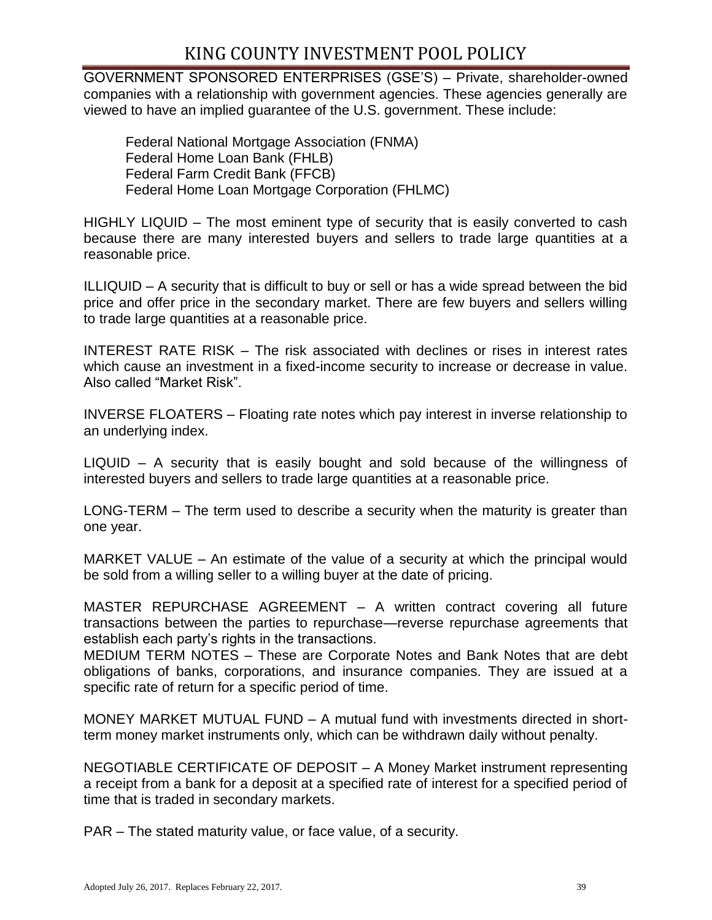GOVERNMENT SPONSORED ENTERPRISES (GSE'S) – Private, shareholder-owned companies with a relationship with government agencies. These agencies generally are viewed to have an implied guarantee of the U.S. government. These include:

Federal National Mortgage Association (FNMA) Federal Home Loan Bank (FHLB) Federal Farm Credit Bank (FFCB) Federal Home Loan Mortgage Corporation (FHLMC)

HIGHLY LIQUID – The most eminent type of security that is easily converted to cash because there are many interested buyers and sellers to trade large quantities at a reasonable price.

ILLIQUID – A security that is difficult to buy or sell or has a wide spread between the bid price and offer price in the secondary market. There are few buyers and sellers willing to trade large quantities at a reasonable price.

INTEREST RATE RISK – The risk associated with declines or rises in interest rates which cause an investment in a fixed-income security to increase or decrease in value. Also called "Market Risk".

INVERSE FLOATERS – Floating rate notes which pay interest in inverse relationship to an underlying index.

LIQUID – A security that is easily bought and sold because of the willingness of interested buyers and sellers to trade large quantities at a reasonable price.

LONG-TERM – The term used to describe a security when the maturity is greater than one year.

MARKET VALUE – An estimate of the value of a security at which the principal would be sold from a willing seller to a willing buyer at the date of pricing.

MASTER REPURCHASE AGREEMENT – A written contract covering all future transactions between the parties to repurchase—reverse repurchase agreements that establish each party's rights in the transactions.

MEDIUM TERM NOTES – These are Corporate Notes and Bank Notes that are debt obligations of banks, corporations, and insurance companies. They are issued at a specific rate of return for a specific period of time.

MONEY MARKET MUTUAL FUND – A mutual fund with investments directed in shortterm money market instruments only, which can be withdrawn daily without penalty.

NEGOTIABLE CERTIFICATE OF DEPOSIT – A Money Market instrument representing a receipt from a bank for a deposit at a specified rate of interest for a specified period of time that is traded in secondary markets.

PAR – The stated maturity value, or face value, of a security.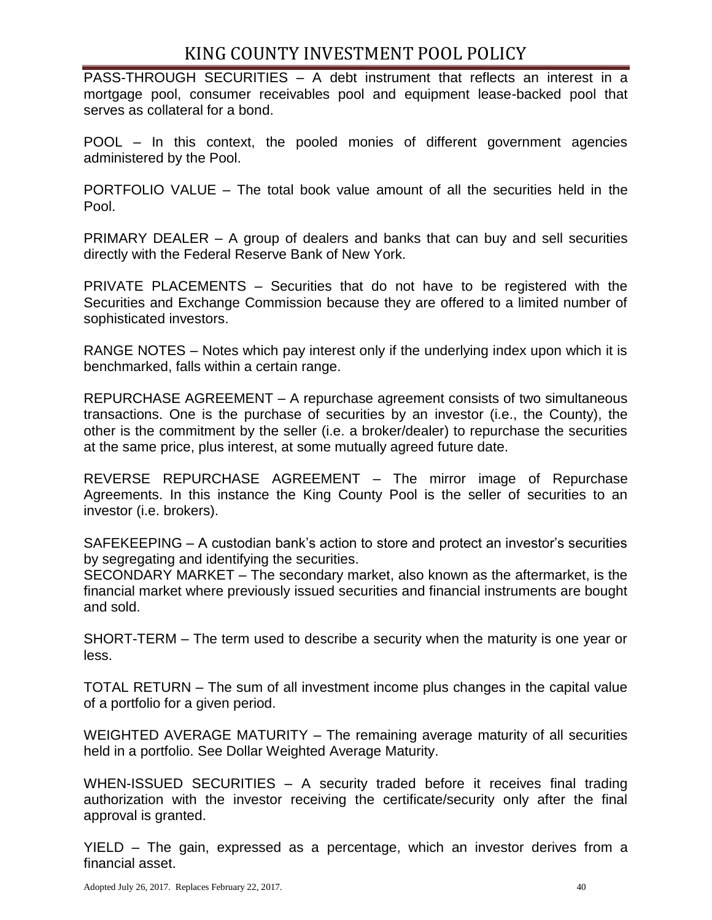PASS-THROUGH SECURITIES – A debt instrument that reflects an interest in a mortgage pool, consumer receivables pool and equipment lease-backed pool that serves as collateral for a bond.

POOL – In this context, the pooled monies of different government agencies administered by the Pool.

PORTFOLIO VALUE – The total book value amount of all the securities held in the Pool.

PRIMARY DEALER – A group of dealers and banks that can buy and sell securities directly with the Federal Reserve Bank of New York.

PRIVATE PLACEMENTS – Securities that do not have to be registered with the Securities and Exchange Commission because they are offered to a limited number of sophisticated investors.

RANGE NOTES – Notes which pay interest only if the underlying index upon which it is benchmarked, falls within a certain range.

REPURCHASE AGREEMENT – A repurchase agreement consists of two simultaneous transactions. One is the purchase of securities by an investor (i.e., the County), the other is the commitment by the seller (i.e. a broker/dealer) to repurchase the securities at the same price, plus interest, at some mutually agreed future date.

REVERSE REPURCHASE AGREEMENT – The mirror image of Repurchase Agreements. In this instance the King County Pool is the seller of securities to an investor (i.e. brokers).

SAFEKEEPING – A custodian bank's action to store and protect an investor's securities by segregating and identifying the securities.

SECONDARY MARKET – The secondary market, also known as the aftermarket, is the financial market where previously issued securities and financial instruments are bought and sold.

SHORT-TERM – The term used to describe a security when the maturity is one year or less.

TOTAL RETURN – The sum of all investment income plus changes in the capital value of a portfolio for a given period.

WEIGHTED AVERAGE MATURITY – The remaining average maturity of all securities held in a portfolio. See Dollar Weighted Average Maturity.

WHEN-ISSUED SECURITIES - A security traded before it receives final trading authorization with the investor receiving the certificate/security only after the final approval is granted.

YIELD – The gain, expressed as a percentage, which an investor derives from a financial asset.